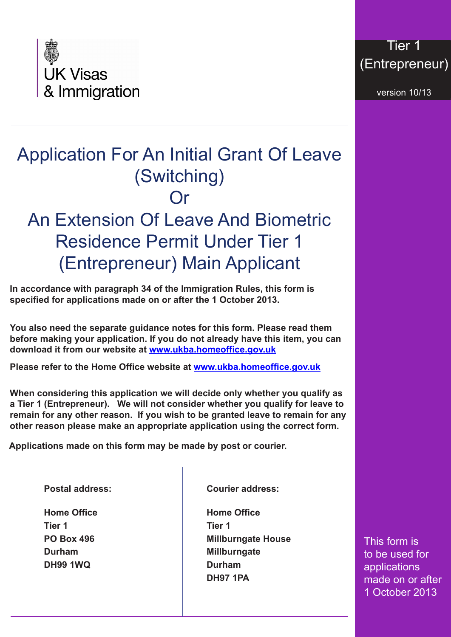

## Tier 1 (Entrepreneur)

version 10/13

## Application For An Initial Grant Of Leave (Switching) Or An Extension Of Leave And Biometric Residence Permit Under Tier 1 (Entrepreneur) Main Applicant

**In accordance with paragraph 34 of the Immigration Rules, this form is specified for applications made on or after the 1 October 2013.**

**You also need the separate guidance notes for this form. Please read them before making your application. If you do not already have this item, you can download it from our website at<www.ukba.homeoffice.gov.uk>**

**Please refer to the Home Office website at www.ukba.homeoffice.gov.uk**

**When considering this application we will decide only whether you qualify as a Tier 1 (Entrepreneur). We will not consider whether you qualify for leave to remain for any other reason. If you wish to be granted leave to remain for any other reason please make an appropriate application using the correct form.**

**Applications made on this form may be made by post or courier.**

**Postal address:**

**Home Office Tier 1 PO Box 496 Durham DH99 1WQ**

**Courier address:**

**Home Office Tier 1 Millburngate House Millburngate Durham DH97 1PA**

This form is to be used for applications made on or after 1 October 2013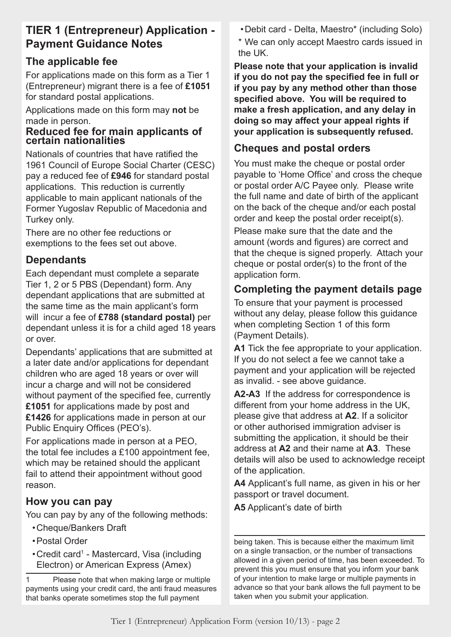## **TIER 1 (Entrepreneur) Application - Payment Guidance Notes**

## **The applicable fee**

For applications made on this form as a Tier 1 (Entrepreneur) migrant there is a fee of **£1051** for standard postal applications.

Applications made on this form may **not** be made in person.

#### **Reduced fee for main applicants of certain nationalities**

Nationals of countries that have ratified the 1961 Council of Europe Social Charter (CESC) pay a reduced fee of **£946** for standard postal applications. This reduction is currently applicable to main applicant nationals of the Former Yugoslav Republic of Macedonia and Turkey only.

There are no other fee reductions or exemptions to the fees set out above.

## **Dependants**

Each dependant must complete a separate Tier 1, 2 or 5 PBS (Dependant) form. Any dependant applications that are submitted at the same time as the main applicant's form will incur a fee of **£788 (standard postal)** per dependant unless it is for a child aged 18 years or over.

Dependants' applications that are submitted at a later date and/or applications for dependant children who are aged 18 years or over will incur a charge and will not be considered without payment of the specified fee, currently **£1051** for applications made by post and **£1426** for applications made in person at our Public Enquiry Offices (PEO's).

For applications made in person at a PEO, the total fee includes a £100 appointment fee, which may be retained should the applicant fail to attend their appointment without good reason.

## **How you can pay**

You can pay by any of the following methods:

- •Cheque/Bankers Draft
- •Postal Order
- Credit card<sup>1</sup> Mastercard, Visa (including Electron) or American Express (Amex)

•Debit card - Delta, Maestro\* (including Solo)

\* We can only accept Maestro cards issued in the UK.

**Please note that your application is invalid if you do not pay the specified fee in full or if you pay by any method other than those specified above. You will be required to make a fresh application, and any delay in doing so may affect your appeal rights if your application is subsequently refused.**

## **Cheques and postal orders**

You must make the cheque or postal order payable to 'Home Office' and cross the cheque or postal order A/C Payee only. Please write the full name and date of birth of the applicant on the back of the cheque and/or each postal order and keep the postal order receipt(s).

Please make sure that the date and the amount (words and figures) are correct and that the cheque is signed properly. Attach your cheque or postal order(s) to the front of the application form.

## **Completing the payment details page**

To ensure that your payment is processed without any delay, please follow this guidance when completing Section 1 of this form (Payment Details).

**A1** Tick the fee appropriate to your application. If you do not select a fee we cannot take a payment and your application will be rejected as invalid. - see above guidance.

**A2-A3** If the address for correspondence is different from your home address in the UK, please give that address at **A2**. If a solicitor or other authorised immigration adviser is submitting the application, it should be their address at **A2** and their name at **A3**. These details will also be used to acknowledge receipt of the application.

**A4** Applicant's full name, as given in his or her passport or travel document.

**A5** Applicant's date of birth

being taken. This is because either the maximum limit on a single transaction, or the number of transactions allowed in a given period of time, has been exceeded. To prevent this you must ensure that you inform your bank of your intention to make large or multiple payments in advance so that your bank allows the full payment to be taken when you submit your application.

<sup>1</sup> Please note that when making large or multiple payments using your credit card, the anti fraud measures that banks operate sometimes stop the full payment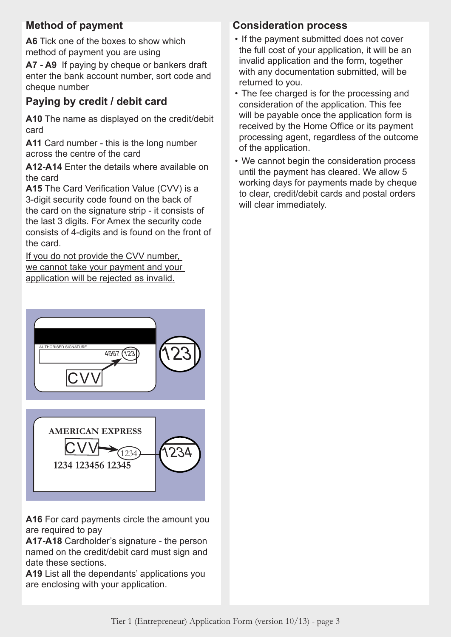## **Method of payment**

**A6** Tick one of the boxes to show which method of payment you are using

**A7 - A9** If paying by cheque or bankers draft enter the bank account number, sort code and cheque number

## **Paying by credit / debit card**

**A10** The name as displayed on the credit/debit card

**A11** Card number - this is the long number across the centre of the card

**A12-A14** Enter the details where available on the card

**A15** The Card Verification Value (CVV) is a 3-digit security code found on the back of the card on the signature strip - it consists of the last 3 digits. For Amex the security code consists of 4-digits and is found on the front of the card.

If you do not provide the CVV number, we cannot take your payment and your application will be rejected as invalid.

# **AMERICAN EXPRESS**  $\sim \sqrt{1234}$  **1234 123456 12345**  $CVV \rightarrow$  (1234) 1234 4567 123 AUTHORISED SIGNATURE <u>CVV</u> 123

**A16** For card payments circle the amount you are required to pay

**A17-A18** Cardholder's signature - the person named on the credit/debit card must sign and date these sections.

**A19** List all the dependants' applications you are enclosing with your application.

## **Consideration process**

- If the payment submitted does not cover the full cost of your application, it will be an invalid application and the form, together with any documentation submitted, will be returned to you.
- The fee charged is for the processing and consideration of the application. This fee will be payable once the application form is received by the Home Office or its payment processing agent, regardless of the outcome of the application.
- We cannot begin the consideration process until the payment has cleared. We allow 5 working days for payments made by cheque to clear, credit/debit cards and postal orders will clear immediately.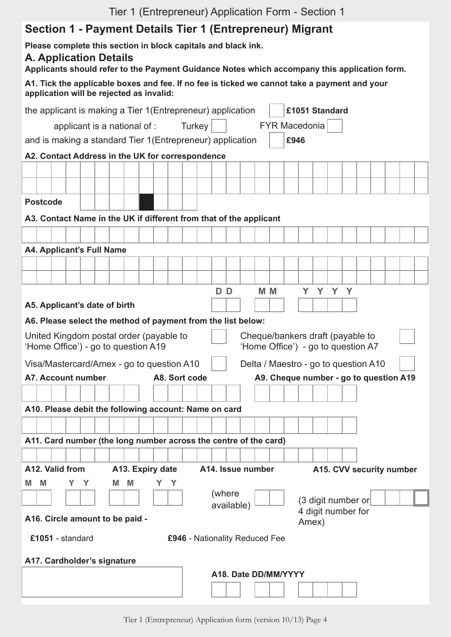## **Section 1 - Payment Details Tier 1 (Entrepreneur) Migrant**

## **A. Application Details**

**Applicants should refer to the Payment Guidance Notes which accompany this application form.**

| A1. Tick the applicable boxes and fee. If no fee is ticked we cannot take a payment and your |  |
|----------------------------------------------------------------------------------------------|--|
| application will be rejected as invalid:                                                     |  |

|   |                  |   |                                  |   |                                                                                |     |               | the applicant is making a Tier 1(Entrepreneur) application         |                                                                        |                      |       | £1051 Standard |                    |  |                                        |  |
|---|------------------|---|----------------------------------|---|--------------------------------------------------------------------------------|-----|---------------|--------------------------------------------------------------------|------------------------------------------------------------------------|----------------------|-------|----------------|--------------------|--|----------------------------------------|--|
|   |                  |   |                                  |   | applicant is a national of :                                                   |     | Turkey        |                                                                    |                                                                        | <b>FYR Macedonia</b> |       |                |                    |  |                                        |  |
|   |                  |   |                                  |   |                                                                                |     |               | and is making a standard Tier 1 (Entrepreneur) application         |                                                                        | £946                 |       |                |                    |  |                                        |  |
|   |                  |   |                                  |   | A2. Contact Address in the UK for correspondence                               |     |               |                                                                    |                                                                        |                      |       |                |                    |  |                                        |  |
|   |                  |   |                                  |   |                                                                                |     |               |                                                                    |                                                                        |                      |       |                |                    |  |                                        |  |
|   |                  |   |                                  |   |                                                                                |     |               |                                                                    |                                                                        |                      |       |                |                    |  |                                        |  |
|   | <b>Postcode</b>  |   |                                  |   |                                                                                |     |               |                                                                    |                                                                        |                      |       |                |                    |  |                                        |  |
|   |                  |   |                                  |   |                                                                                |     |               | A3. Contact Name in the UK if different from that of the applicant |                                                                        |                      |       |                |                    |  |                                        |  |
|   |                  |   |                                  |   |                                                                                |     |               |                                                                    |                                                                        |                      |       |                |                    |  |                                        |  |
|   |                  |   | <b>A4. Applicant's Full Name</b> |   |                                                                                |     |               |                                                                    |                                                                        |                      |       |                |                    |  |                                        |  |
|   |                  |   |                                  |   |                                                                                |     |               |                                                                    |                                                                        |                      |       |                |                    |  |                                        |  |
|   |                  |   |                                  |   |                                                                                |     |               |                                                                    |                                                                        |                      |       |                |                    |  |                                        |  |
|   |                  |   |                                  |   |                                                                                |     |               | DD                                                                 | M <sub>M</sub>                                                         |                      |       | Y Y Y Y        |                    |  |                                        |  |
|   |                  |   | A5. Applicant's date of birth    |   |                                                                                |     |               |                                                                    |                                                                        |                      |       |                |                    |  |                                        |  |
|   |                  |   |                                  |   |                                                                                |     |               | A6. Please select the method of payment from the list below:       |                                                                        |                      |       |                |                    |  |                                        |  |
|   |                  |   |                                  |   | United Kingdom postal order (payable to<br>'Home Office') - go to question A19 |     |               |                                                                    | Cheque/bankers draft (payable to<br>'Home Office') - go to question A7 |                      |       |                |                    |  |                                        |  |
|   |                  |   |                                  |   | Visa/Mastercard/Amex - go to question A10                                      |     |               |                                                                    | Delta / Maestro - go to question A10                                   |                      |       |                |                    |  |                                        |  |
|   |                  |   | <b>A7. Account number</b>        |   |                                                                                |     | A8. Sort code |                                                                    |                                                                        |                      |       |                |                    |  | A9. Cheque number - go to question A19 |  |
|   |                  |   |                                  |   |                                                                                |     |               |                                                                    |                                                                        |                      |       |                |                    |  |                                        |  |
|   |                  |   |                                  |   |                                                                                |     |               |                                                                    |                                                                        |                      |       |                |                    |  |                                        |  |
|   |                  |   |                                  |   |                                                                                |     |               |                                                                    |                                                                        |                      |       |                |                    |  |                                        |  |
|   |                  |   |                                  |   |                                                                                |     |               | A10. Please debit the following account: Name on card              |                                                                        |                      |       |                |                    |  |                                        |  |
|   |                  |   |                                  |   |                                                                                |     |               |                                                                    |                                                                        |                      |       |                |                    |  |                                        |  |
|   |                  |   |                                  |   |                                                                                |     |               | A11. Card number (the long number across the centre of the card)   |                                                                        |                      |       |                |                    |  |                                        |  |
|   |                  |   |                                  |   |                                                                                |     |               |                                                                    |                                                                        |                      |       |                |                    |  |                                        |  |
|   | A12. Valid from  |   |                                  |   | A13. Expiry date                                                               |     |               | A14. Issue number                                                  |                                                                        |                      |       |                |                    |  | A15. CVV security number               |  |
| M | M                | Y | Y                                | М | M                                                                              | Y Y |               |                                                                    |                                                                        |                      |       |                |                    |  |                                        |  |
|   |                  |   |                                  |   |                                                                                |     |               | (where                                                             |                                                                        |                      |       |                | (3 digit number or |  |                                        |  |
|   |                  |   |                                  |   |                                                                                |     |               | available)                                                         |                                                                        |                      |       |                | 4 digit number for |  |                                        |  |
|   |                  |   |                                  |   | A16. Circle amount to be paid -                                                |     |               |                                                                    |                                                                        |                      | Amex) |                |                    |  |                                        |  |
|   | £1051 - standard |   |                                  |   |                                                                                |     |               | £946 - Nationality Reduced Fee                                     |                                                                        |                      |       |                |                    |  |                                        |  |
|   |                  |   |                                  |   |                                                                                |     |               |                                                                    |                                                                        |                      |       |                |                    |  |                                        |  |
|   |                  |   | A17. Cardholder's signature      |   |                                                                                |     |               | A18. Date DD/MM/YYYY                                               |                                                                        |                      |       |                |                    |  |                                        |  |
|   |                  |   |                                  |   |                                                                                |     |               |                                                                    |                                                                        |                      |       |                |                    |  |                                        |  |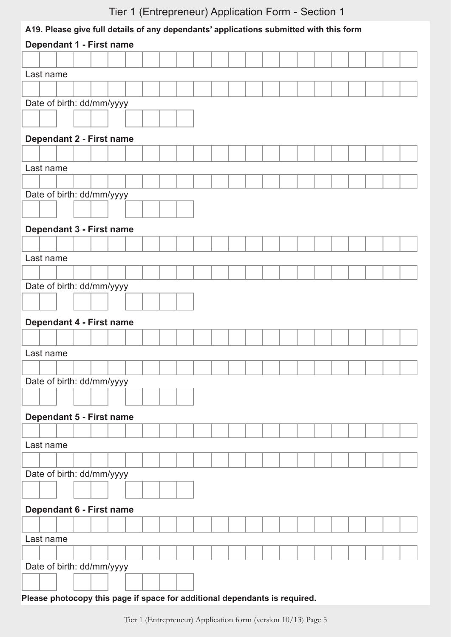#### **A19. Please give full details of any dependants' applications submitted with this form**

| Dependant 1 - First name                                                   |
|----------------------------------------------------------------------------|
|                                                                            |
| Last name                                                                  |
|                                                                            |
| Date of birth: dd/mm/yyyy                                                  |
|                                                                            |
|                                                                            |
| Dependant 2 - First name                                                   |
|                                                                            |
| Last name                                                                  |
|                                                                            |
| Date of birth: dd/mm/yyyy                                                  |
|                                                                            |
| Dependant 3 - First name                                                   |
|                                                                            |
| Last name                                                                  |
|                                                                            |
| Date of birth: dd/mm/yyyy                                                  |
|                                                                            |
|                                                                            |
| Dependant 4 - First name                                                   |
|                                                                            |
| Last name                                                                  |
|                                                                            |
| Date of birth: dd/mm/yyyy                                                  |
|                                                                            |
| Dependant 5 - First name                                                   |
|                                                                            |
| Last name                                                                  |
|                                                                            |
| Date of birth: dd/mm/yyyy                                                  |
|                                                                            |
|                                                                            |
| Dependant 6 - First name                                                   |
|                                                                            |
| Last name                                                                  |
|                                                                            |
| Date of birth: dd/mm/yyyy                                                  |
|                                                                            |
| Please photocopy this page if space for additional dependants is required. |

Tier 1 (Entrepreneur) Application form (version 10/13) Page 5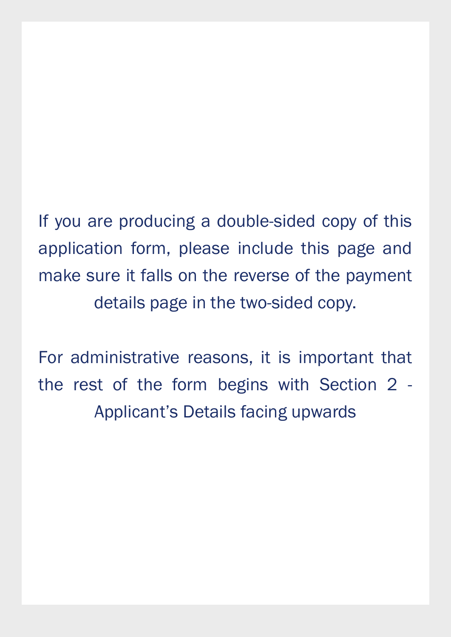If you are producing a double-sided copy of this application form, please include this page and make sure it falls on the reverse of the payment details page in the two-sided copy.

For administrative reasons, it is important that the rest of the form begins with Section 2 - Applicant's Details facing upwards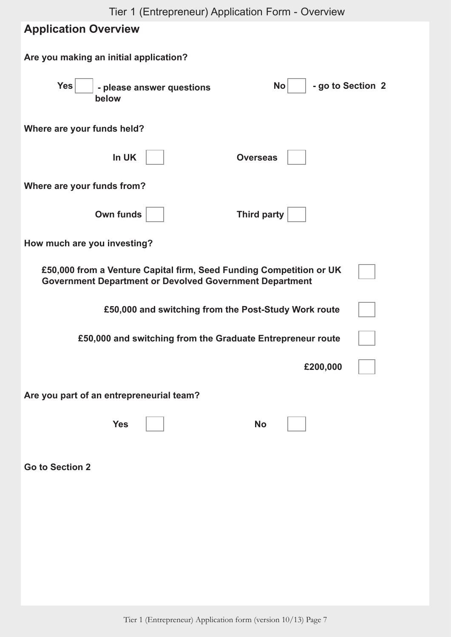| Tier 1 (Entrepreneur) Application Form - Overview<br><b>Application Overview</b>                                                      |
|---------------------------------------------------------------------------------------------------------------------------------------|
| Are you making an initial application?                                                                                                |
| <b>Yes</b><br>- go to Section 2<br><b>No</b><br>- please answer questions<br>below                                                    |
| Where are your funds held?                                                                                                            |
| In UK<br><b>Overseas</b>                                                                                                              |
| Where are your funds from?                                                                                                            |
| Own funds<br><b>Third party</b>                                                                                                       |
| How much are you investing?                                                                                                           |
| £50,000 from a Venture Capital firm, Seed Funding Competition or UK<br><b>Government Department or Devolved Government Department</b> |
| £50,000 and switching from the Post-Study Work route                                                                                  |
| £50,000 and switching from the Graduate Entrepreneur route                                                                            |
| £200,000                                                                                                                              |
| Are you part of an entrepreneurial team?                                                                                              |
| <b>Yes</b><br><b>No</b>                                                                                                               |
| <b>Go to Section 2</b>                                                                                                                |
|                                                                                                                                       |
|                                                                                                                                       |
|                                                                                                                                       |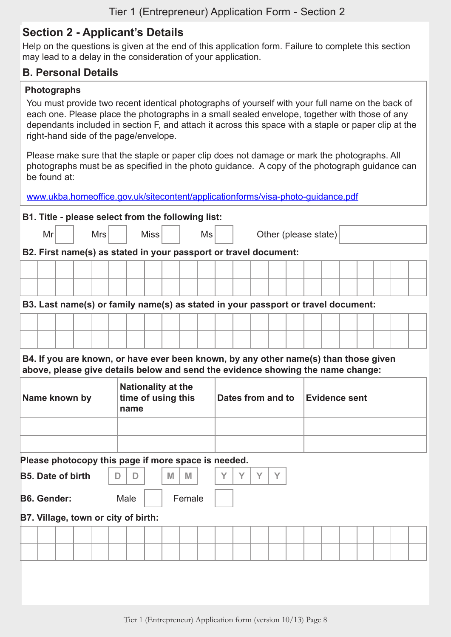## **Section 2 - Applicant's Details**

Help on the questions is given at the end of this application form. Failure to complete this section may lead to a delay in the consideration of your application.

#### **B. Personal Details**

#### **Photographs**

You must provide two recent identical photographs of yourself with your full name on the back of each one. Please place the photographs in a small sealed envelope, together with those of any dependants included in section F, and attach it across this space with a staple or paper clip at the right-hand side of the page/envelope.

Please make sure that the staple or paper clip does not damage or mark the photographs. All photographs must be as specified in the photo guidance. A copy of the photograph guidance can be found at:

[www.ukba.homeoffice.gov.uk/sitecontent/applicationforms/visa-photo-guidance.pdf](http://www.ukba.homeoffice.gov.uk/sitecontent/applicationforms/visa-photo-guidance.pdf)

#### **B1. Title - please select from the following list:**

| Mr |                                                                  |  | <b>Mrs</b> |  |  | <b>Miss</b> |  |  | Ms |  |  |  |  | Other (please state) |  |  |  |  |
|----|------------------------------------------------------------------|--|------------|--|--|-------------|--|--|----|--|--|--|--|----------------------|--|--|--|--|
|    | B2. First name(s) as stated in your passport or travel document: |  |            |  |  |             |  |  |    |  |  |  |  |                      |  |  |  |  |
|    |                                                                  |  |            |  |  |             |  |  |    |  |  |  |  |                      |  |  |  |  |

#### **B3. Last name(s) or family name(s) as stated in your passport or travel document:**

**B4. If you are known, or have ever been known, by any other name(s) than those given above, please give details below and send the evidence showing the name change:**

| Name known by | <b>Nationality at the</b><br>time of using this<br>name | Dates from and to | Evidence sent |
|---------------|---------------------------------------------------------|-------------------|---------------|
|               |                                                         |                   |               |
|               |                                                         |                   |               |

#### **Please photocopy this page if more space is needed.**

| <b>B5. Date of birth</b> |  |  |  |
|--------------------------|--|--|--|
|                          |  |  |  |

**B6. Gender:** Male Female

#### **B7. Village, town or city of birth:**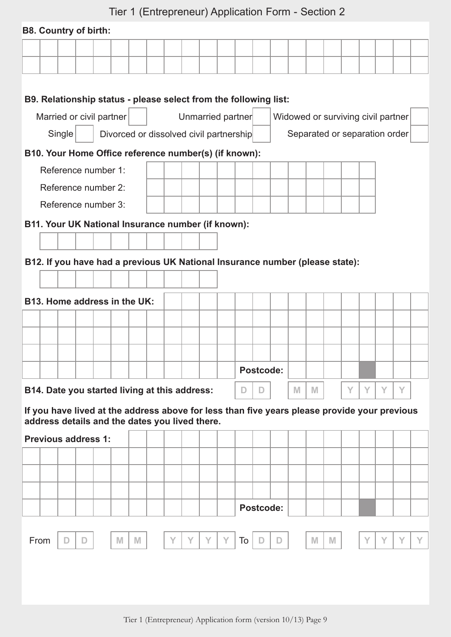|                              |        |                              |  |   |                                                    |  |  |  |   |  | $\text{Her}$ T (Entrepreneur) Application Form - Section Z                                   |           |             |   |   |                                    |   |   |   |   |  |
|------------------------------|--------|------------------------------|--|---|----------------------------------------------------|--|--|--|---|--|----------------------------------------------------------------------------------------------|-----------|-------------|---|---|------------------------------------|---|---|---|---|--|
|                              |        | <b>B8. Country of birth:</b> |  |   |                                                    |  |  |  |   |  |                                                                                              |           |             |   |   |                                    |   |   |   |   |  |
|                              |        |                              |  |   |                                                    |  |  |  |   |  |                                                                                              |           |             |   |   |                                    |   |   |   |   |  |
|                              |        |                              |  |   |                                                    |  |  |  |   |  |                                                                                              |           |             |   |   |                                    |   |   |   |   |  |
|                              |        |                              |  |   |                                                    |  |  |  |   |  |                                                                                              |           |             |   |   |                                    |   |   |   |   |  |
|                              |        |                              |  |   |                                                    |  |  |  |   |  | B9. Relationship status - please select from the following list:                             |           |             |   |   |                                    |   |   |   |   |  |
|                              |        | Married or civil partner     |  |   |                                                    |  |  |  |   |  | Unmarried partner                                                                            |           |             |   |   | Widowed or surviving civil partner |   |   |   |   |  |
|                              | Single |                              |  |   |                                                    |  |  |  |   |  | Divorced or dissolved civil partnership                                                      |           |             |   |   | Separated or separation order      |   |   |   |   |  |
|                              |        |                              |  |   |                                                    |  |  |  |   |  | B10. Your Home Office reference number(s) (if known):                                        |           |             |   |   |                                    |   |   |   |   |  |
|                              |        | Reference number 1:          |  |   |                                                    |  |  |  |   |  |                                                                                              |           |             |   |   |                                    |   |   |   |   |  |
|                              |        | Reference number 2:          |  |   |                                                    |  |  |  |   |  |                                                                                              |           |             |   |   |                                    |   |   |   |   |  |
|                              |        | Reference number 3:          |  |   |                                                    |  |  |  |   |  |                                                                                              |           |             |   |   |                                    |   |   |   |   |  |
|                              |        |                              |  |   | B11. Your UK National Insurance number (if known): |  |  |  |   |  |                                                                                              |           |             |   |   |                                    |   |   |   |   |  |
|                              |        |                              |  |   |                                                    |  |  |  |   |  |                                                                                              |           |             |   |   |                                    |   |   |   |   |  |
|                              |        |                              |  |   |                                                    |  |  |  |   |  | B12. If you have had a previous UK National Insurance number (please state):                 |           |             |   |   |                                    |   |   |   |   |  |
|                              |        |                              |  |   |                                                    |  |  |  |   |  |                                                                                              |           |             |   |   |                                    |   |   |   |   |  |
|                              |        |                              |  |   |                                                    |  |  |  |   |  |                                                                                              |           |             |   |   |                                    |   |   |   |   |  |
| B13. Home address in the UK: |        |                              |  |   |                                                    |  |  |  |   |  |                                                                                              |           |             |   |   |                                    |   |   |   |   |  |
|                              |        |                              |  |   |                                                    |  |  |  |   |  |                                                                                              |           |             |   |   |                                    |   |   |   |   |  |
|                              |        |                              |  |   |                                                    |  |  |  |   |  |                                                                                              |           |             |   |   |                                    |   |   |   |   |  |
|                              |        |                              |  |   |                                                    |  |  |  |   |  |                                                                                              |           |             |   |   |                                    |   |   |   |   |  |
|                              |        |                              |  |   |                                                    |  |  |  |   |  |                                                                                              | Postcode: |             |   |   |                                    |   |   |   |   |  |
|                              |        |                              |  |   | B14. Date you started living at this address:      |  |  |  |   |  | $\mathsf{D}$                                                                                 | D         |             | M | M |                                    | Υ | Y | Y | Y |  |
|                              |        |                              |  |   |                                                    |  |  |  |   |  | If you have lived at the address above for less than five years please provide your previous |           |             |   |   |                                    |   |   |   |   |  |
|                              |        |                              |  |   | address details and the dates you lived there.     |  |  |  |   |  |                                                                                              |           |             |   |   |                                    |   |   |   |   |  |
|                              |        | <b>Previous address 1:</b>   |  |   |                                                    |  |  |  |   |  |                                                                                              |           |             |   |   |                                    |   |   |   |   |  |
|                              |        |                              |  |   |                                                    |  |  |  |   |  |                                                                                              |           |             |   |   |                                    |   |   |   |   |  |
|                              |        |                              |  |   |                                                    |  |  |  |   |  |                                                                                              |           |             |   |   |                                    |   |   |   |   |  |
|                              |        |                              |  |   |                                                    |  |  |  |   |  |                                                                                              |           |             |   |   |                                    |   |   |   |   |  |
|                              |        |                              |  |   |                                                    |  |  |  |   |  |                                                                                              | Postcode: |             |   |   |                                    |   |   |   |   |  |
| From                         |        | D                            |  | M | M                                                  |  |  |  | Y |  | To                                                                                           | D         | $\mathsf D$ |   | M | M                                  |   |   |   |   |  |
|                              |        |                              |  |   |                                                    |  |  |  |   |  |                                                                                              |           |             |   |   |                                    |   |   |   |   |  |
|                              |        |                              |  |   |                                                    |  |  |  |   |  |                                                                                              |           |             |   |   |                                    |   |   |   |   |  |
|                              |        |                              |  |   |                                                    |  |  |  |   |  |                                                                                              |           |             |   |   |                                    |   |   |   |   |  |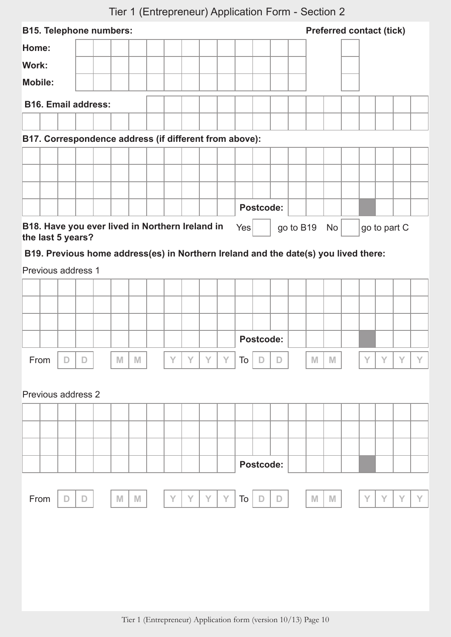| <b>B15. Telephone numbers:</b>                                                      |   |               |   |   |   |   |   |   |            |           |           |              |              | <b>Preferred contact (tick)</b> |   |   |              |   |
|-------------------------------------------------------------------------------------|---|---------------|---|---|---|---|---|---|------------|-----------|-----------|--------------|--------------|---------------------------------|---|---|--------------|---|
| Home:                                                                               |   |               |   |   |   |   |   |   |            |           |           |              |              |                                 |   |   |              |   |
| Work:                                                                               |   |               |   |   |   |   |   |   |            |           |           |              |              |                                 |   |   |              |   |
| <b>Mobile:</b>                                                                      |   |               |   |   |   |   |   |   |            |           |           |              |              |                                 |   |   |              |   |
| <b>B16. Email address:</b>                                                          |   |               |   |   |   |   |   |   |            |           |           |              |              |                                 |   |   |              |   |
|                                                                                     |   |               |   |   |   |   |   |   |            |           |           |              |              |                                 |   |   |              |   |
| B17. Correspondence address (if different from above):                              |   |               |   |   |   |   |   |   |            |           |           |              |              |                                 |   |   |              |   |
|                                                                                     |   |               |   |   |   |   |   |   |            |           |           |              |              |                                 |   |   |              |   |
|                                                                                     |   |               |   |   |   |   |   |   |            |           |           |              |              |                                 |   |   |              |   |
|                                                                                     |   |               |   |   |   |   |   |   |            |           |           |              |              |                                 |   |   |              |   |
|                                                                                     |   |               |   |   |   |   |   |   |            | Postcode: |           |              |              |                                 |   |   |              |   |
| B18. Have you ever lived in Northern Ireland in                                     |   |               |   |   |   |   |   |   | Yes        |           |           | go to B19 No |              |                                 |   |   | go to part C |   |
| the last 5 years?                                                                   |   |               |   |   |   |   |   |   |            |           |           |              |              |                                 |   |   |              |   |
| B19. Previous home address(es) in Northern Ireland and the date(s) you lived there: |   |               |   |   |   |   |   |   |            |           |           |              |              |                                 |   |   |              |   |
| Previous address 1                                                                  |   |               |   |   |   |   |   |   |            |           |           |              |              |                                 |   |   |              |   |
|                                                                                     |   |               |   |   |   |   |   |   |            |           |           |              |              |                                 |   |   |              |   |
|                                                                                     |   |               |   |   |   |   |   |   |            |           |           |              |              |                                 |   |   |              |   |
|                                                                                     |   |               |   |   |   |   |   |   |            |           |           |              |              |                                 |   |   |              |   |
|                                                                                     |   |               |   |   |   |   |   |   |            | Postcode: |           |              |              |                                 |   |   |              |   |
| From                                                                                | D | D             | M | M |   |   | Υ | Y | To $\vert$ | $\Box$    | $\vert$ D |              | M            | M                               |   |   |              |   |
|                                                                                     |   |               |   |   |   |   |   |   |            |           |           |              |              |                                 |   |   |              |   |
| Previous address 2                                                                  |   |               |   |   |   |   |   |   |            |           |           |              |              |                                 |   |   |              |   |
|                                                                                     |   |               |   |   |   |   |   |   |            |           |           |              |              |                                 |   |   |              |   |
|                                                                                     |   |               |   |   |   |   |   |   |            |           |           |              |              |                                 |   |   |              |   |
|                                                                                     |   |               |   |   |   |   |   |   |            |           |           |              |              |                                 |   |   |              |   |
|                                                                                     |   |               |   |   |   |   |   |   |            | Postcode: |           |              |              |                                 |   |   |              |   |
|                                                                                     |   |               |   |   |   |   |   |   |            |           |           |              |              |                                 |   |   |              |   |
| From                                                                                | D | $\mathbb{D}%$ | M | M | Y | Y | Y | Y | To         | D         | D         |              | $\mathbb{M}$ | M                               | Y | Y | Y            | Y |
|                                                                                     |   |               |   |   |   |   |   |   |            |           |           |              |              |                                 |   |   |              |   |
|                                                                                     |   |               |   |   |   |   |   |   |            |           |           |              |              |                                 |   |   |              |   |
|                                                                                     |   |               |   |   |   |   |   |   |            |           |           |              |              |                                 |   |   |              |   |
|                                                                                     |   |               |   |   |   |   |   |   |            |           |           |              |              |                                 |   |   |              |   |
|                                                                                     |   |               |   |   |   |   |   |   |            |           |           |              |              |                                 |   |   |              |   |
|                                                                                     |   |               |   |   |   |   |   |   |            |           |           |              |              |                                 |   |   |              |   |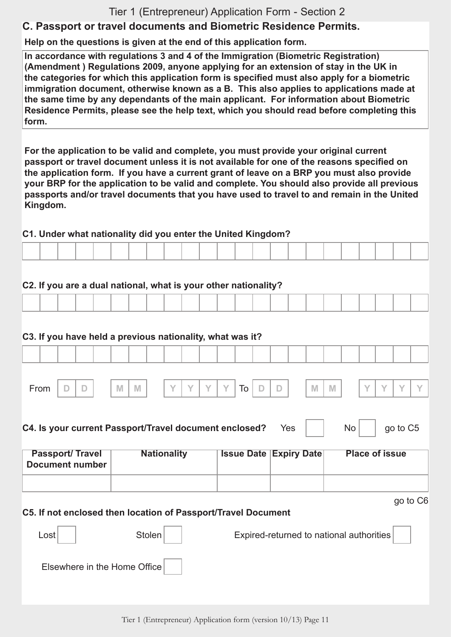## **C. Passport or travel documents and Biometric Residence Permits.**

**Help on the questions is given at the end of this application form.**

**In accordance with regulations 3 and 4 of the Immigration (Biometric Registration) (Amendment ) Regulations 2009, anyone applying for an extension of stay in the UK in the categories for which this application form is specified must also apply for a biometric immigration document, otherwise known as a B. This also applies to applications made at the same time by any dependants of the main applicant. For information about Biometric Residence Permits, please see the help text, which you should read before completing this form.**

**For the application to be valid and complete, you must provide your original current passport or travel document unless it is not available for one of the reasons specified on the application form. If you have a current grant of leave on a BRP you must also provide your BRP for the application to be valid and complete. You should also provide all previous passports and/or travel documents that you have used to travel to and remain in the United Kingdom.**

**C1. Under what nationality did you enter the United Kingdom?**

| and the contract of the contract of the contract of the contract of the contract of the contract of the contract of the contract of the contract of the contract of the contract of the contract of the contract of the contra | the contract of the contract of the | . |  |  |
|--------------------------------------------------------------------------------------------------------------------------------------------------------------------------------------------------------------------------------|-------------------------------------|---|--|--|

#### **C2. If you are a dual national, what is your other nationality?**

#### **C3. If you have held a previous nationality, what was it?**

|      |                                       |                     |             |   |           |           | . .    |           |    |        |             |   |   |  |  |  |
|------|---------------------------------------|---------------------|-------------|---|-----------|-----------|--------|-----------|----|--------|-------------|---|---|--|--|--|
|      |                                       |                     |             |   |           |           |        |           |    |        |             |   |   |  |  |  |
|      |                                       |                     |             |   |           |           |        |           |    |        |             |   |   |  |  |  |
| From | $\mathcal{L}$<br>$\displaystyle\quad$ | $\blacksquare$<br>ш | $\mathbb N$ | M | $\sqrt{}$ | $\sqrt{}$ | $\vee$ | $\sqrt{}$ | To | $\sim$ | $\Box$<br>∼ | M | M |  |  |  |

| C4. Is your current Passport/Travel document enclosed? Yes     No   go to C5 |  |  |  |  |  |
|------------------------------------------------------------------------------|--|--|--|--|--|
|------------------------------------------------------------------------------|--|--|--|--|--|

| <b>Passport/Travel</b><br>Document number | <b>Nationality</b> | <b>Issue Date Expiry Date</b> | <b>Place of issue</b> |
|-------------------------------------------|--------------------|-------------------------------|-----------------------|
|                                           |                    |                               |                       |

go to C6

**C5. If not enclosed then location of Passport/Travel Document**

| Lost | <b>Stolen</b>                | Expired-returned to national authorities |
|------|------------------------------|------------------------------------------|
|      | Elsewhere in the Home Office |                                          |
|      |                              |                                          |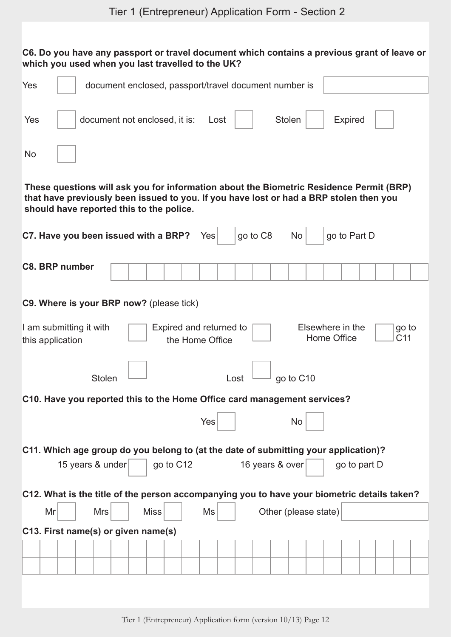| C6. Do you have any passport or travel document which contains a previous grant of leave or<br>which you used when you last travelled to the UK? |                  |                                                                                                                                                                                                                               |             |                                            |      |                 |        |                                    |                                 |                |  |                          |  |
|--------------------------------------------------------------------------------------------------------------------------------------------------|------------------|-------------------------------------------------------------------------------------------------------------------------------------------------------------------------------------------------------------------------------|-------------|--------------------------------------------|------|-----------------|--------|------------------------------------|---------------------------------|----------------|--|--------------------------|--|
| Yes                                                                                                                                              |                  | document enclosed, passport/travel document number is                                                                                                                                                                         |             |                                            |      |                 |        |                                    |                                 |                |  |                          |  |
| Yes                                                                                                                                              |                  | document not enclosed, it is:                                                                                                                                                                                                 |             | Lost                                       |      |                 | Stolen |                                    |                                 | <b>Expired</b> |  |                          |  |
| <b>No</b>                                                                                                                                        |                  |                                                                                                                                                                                                                               |             |                                            |      |                 |        |                                    |                                 |                |  |                          |  |
|                                                                                                                                                  |                  | These questions will ask you for information about the Biometric Residence Permit (BRP)<br>that have previously been issued to you. If you have lost or had a BRP stolen then you<br>should have reported this to the police. |             |                                            |      |                 |        |                                    |                                 |                |  |                          |  |
| C7. Have you been issued with a BRP?                                                                                                             |                  |                                                                                                                                                                                                                               |             | Yes                                        |      | go to C8        |        | <b>No</b>                          |                                 | go to Part D   |  |                          |  |
| <b>C8. BRP number</b>                                                                                                                            |                  |                                                                                                                                                                                                                               |             |                                            |      |                 |        |                                    |                                 |                |  |                          |  |
| C9. Where is your BRP now? (please tick)<br>I am submitting it with<br>this application                                                          |                  |                                                                                                                                                                                                                               |             | Expired and returned to<br>the Home Office |      |                 |        |                                    | Elsewhere in the<br>Home Office |                |  | go to<br>C <sub>11</sub> |  |
|                                                                                                                                                  | Stolen           |                                                                                                                                                                                                                               |             |                                            | Lost |                 |        | $\overline{\phantom{0}}$ go to C10 |                                 |                |  |                          |  |
| C10. Have you reported this to the Home Office card management services?                                                                         |                  |                                                                                                                                                                                                                               |             |                                            |      |                 |        |                                    |                                 |                |  |                          |  |
|                                                                                                                                                  |                  |                                                                                                                                                                                                                               |             | Yes                                        |      |                 |        | No                                 |                                 |                |  |                          |  |
| C11. Which age group do you belong to (at the date of submitting your application)?                                                              |                  |                                                                                                                                                                                                                               |             |                                            |      |                 |        |                                    |                                 |                |  |                          |  |
|                                                                                                                                                  | 15 years & under |                                                                                                                                                                                                                               | go to C12   |                                            |      | 16 years & over |        |                                    |                                 | go to part D   |  |                          |  |
| C12. What is the title of the person accompanying you to have your biometric details taken?                                                      |                  |                                                                                                                                                                                                                               |             |                                            |      |                 |        |                                    |                                 |                |  |                          |  |
| Mr                                                                                                                                               | <b>Mrs</b>       |                                                                                                                                                                                                                               | <b>Miss</b> | Ms                                         |      |                 |        | Other (please state)               |                                 |                |  |                          |  |
| C13. First name(s) or given name(s)                                                                                                              |                  |                                                                                                                                                                                                                               |             |                                            |      |                 |        |                                    |                                 |                |  |                          |  |
|                                                                                                                                                  |                  |                                                                                                                                                                                                                               |             |                                            |      |                 |        |                                    |                                 |                |  |                          |  |
|                                                                                                                                                  |                  |                                                                                                                                                                                                                               |             |                                            |      |                 |        |                                    |                                 |                |  |                          |  |
|                                                                                                                                                  |                  |                                                                                                                                                                                                                               |             |                                            |      |                 |        |                                    |                                 |                |  |                          |  |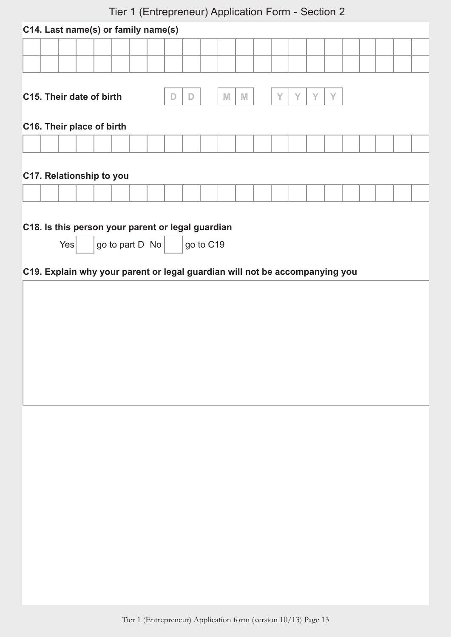| Tier T (Entrepreneur) Application Form - Section Z |                                                                             |           |        |             |   |  |  |
|----------------------------------------------------|-----------------------------------------------------------------------------|-----------|--------|-------------|---|--|--|
|                                                    | C14. Last name(s) or family name(s)                                         |           |        |             |   |  |  |
|                                                    |                                                                             |           |        |             |   |  |  |
|                                                    |                                                                             |           |        |             |   |  |  |
|                                                    |                                                                             |           |        |             |   |  |  |
| C15. Their date of birth                           |                                                                             | D<br>D    | M<br>M | Y<br>Y<br>Y | Y |  |  |
|                                                    |                                                                             |           |        |             |   |  |  |
| C16. Their place of birth                          |                                                                             |           |        |             |   |  |  |
|                                                    |                                                                             |           |        |             |   |  |  |
|                                                    |                                                                             |           |        |             |   |  |  |
| C17. Relationship to you                           |                                                                             |           |        |             |   |  |  |
|                                                    |                                                                             |           |        |             |   |  |  |
|                                                    |                                                                             |           |        |             |   |  |  |
|                                                    |                                                                             |           |        |             |   |  |  |
|                                                    | C18. Is this person your parent or legal guardian                           |           |        |             |   |  |  |
| Yes                                                | go to part D No                                                             | go to C19 |        |             |   |  |  |
|                                                    | C19. Explain why your parent or legal guardian will not be accompanying you |           |        |             |   |  |  |
|                                                    |                                                                             |           |        |             |   |  |  |
|                                                    |                                                                             |           |        |             |   |  |  |
|                                                    |                                                                             |           |        |             |   |  |  |
|                                                    |                                                                             |           |        |             |   |  |  |
|                                                    |                                                                             |           |        |             |   |  |  |
|                                                    |                                                                             |           |        |             |   |  |  |
|                                                    |                                                                             |           |        |             |   |  |  |
|                                                    |                                                                             |           |        |             |   |  |  |
|                                                    |                                                                             |           |        |             |   |  |  |
|                                                    |                                                                             |           |        |             |   |  |  |
|                                                    |                                                                             |           |        |             |   |  |  |
|                                                    |                                                                             |           |        |             |   |  |  |
|                                                    |                                                                             |           |        |             |   |  |  |
|                                                    |                                                                             |           |        |             |   |  |  |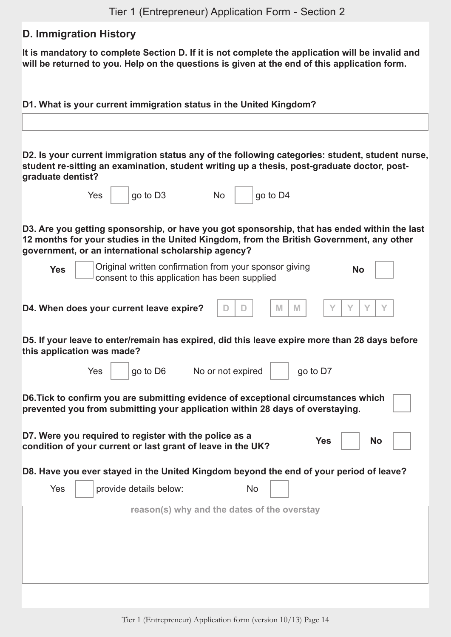## **D. Immigration History**

**It is mandatory to complete Section D. If it is not complete the application will be invalid and will be returned to you. Help on the questions is given at the end of this application form.**

**D1. What is your current immigration status in the United Kingdom? D2. Is your current immigration status any of the following categories: student, student nurse, student re-sitting an examination, student writing up a thesis, post-graduate doctor, postgraduate dentist?**  $Yes \mid \text{qo to D3}$  No  $\mid$   $|$  ao to D4 **D3. Are you getting sponsorship, or have you got sponsorship, that has ended within the last 12 months for your studies in the United Kingdom, from the British Government, any other government, or an international scholarship agency? Yes** | | | Original written confirmation from your sponsor giving consent to this application has been supplied **No D4.** When does your current leave expire?  $\Box$   $\Box$   $\Box$   $\Box$   $\parallel$  M  $\parallel$  M  $\parallel$  Y  $\parallel$  Y  $\parallel$  Y  $\parallel$  Y  $\parallel$  Y **D5. If your leave to enter/remain has expired, did this leave expire more than 28 days before this application was made?**  $Yes \mid \text{qo to D6}$  No or not expired  $\mid \text{qo to D7}$ **D6.Tick to confirm you are submitting evidence of exceptional circumstances which prevented you from submitting your application within 28 days of overstaying. D7. Were you required to register with the police as a condition of your current or last grant of leave in the UK? Yes No D8. Have you ever stayed in the United Kingdom beyond the end of your period of leave?** Yes | provide details below: No **reason(s) why and the dates of the overstay**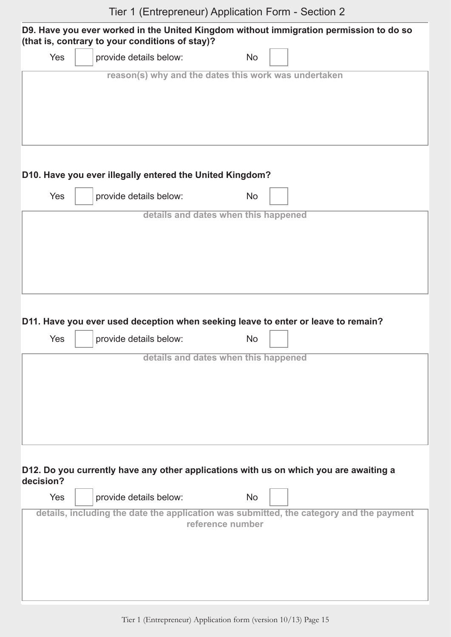|           |     | (that is, contrary to your conditions of stay)?          |                                      |           | D9. Have you ever worked in the United Kingdom without immigration permission to do so                                                                                           |
|-----------|-----|----------------------------------------------------------|--------------------------------------|-----------|----------------------------------------------------------------------------------------------------------------------------------------------------------------------------------|
|           | Yes | provide details below:                                   |                                      | <b>No</b> |                                                                                                                                                                                  |
|           |     | reason(s) why and the dates this work was undertaken     |                                      |           |                                                                                                                                                                                  |
|           |     | D10. Have you ever illegally entered the United Kingdom? |                                      |           |                                                                                                                                                                                  |
|           | Yes | provide details below:                                   |                                      | <b>No</b> |                                                                                                                                                                                  |
|           |     |                                                          | details and dates when this happened |           |                                                                                                                                                                                  |
|           | Yes | provide details below:                                   |                                      | <b>No</b> | D11. Have you ever used deception when seeking leave to enter or leave to remain?                                                                                                |
|           |     |                                                          | details and dates when this happened |           |                                                                                                                                                                                  |
| decision? | Yes | provide details below:                                   | reference number                     | <b>No</b> | D12. Do you currently have any other applications with us on which you are awaiting a<br>details, including the date the application was submitted, the category and the payment |
|           |     |                                                          |                                      |           |                                                                                                                                                                                  |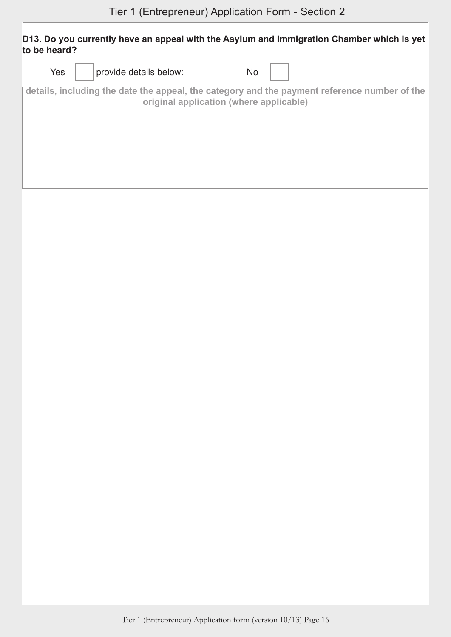#### **D13. Do you currently have an appeal with the Asylum and Immigration Chamber which is yet to be heard?**

| Yes | provide details below:                  | No                                                                                           |
|-----|-----------------------------------------|----------------------------------------------------------------------------------------------|
|     | original application (where applicable) | details, including the date the appeal, the category and the payment reference number of the |
|     |                                         |                                                                                              |
|     |                                         |                                                                                              |
|     |                                         |                                                                                              |
|     |                                         |                                                                                              |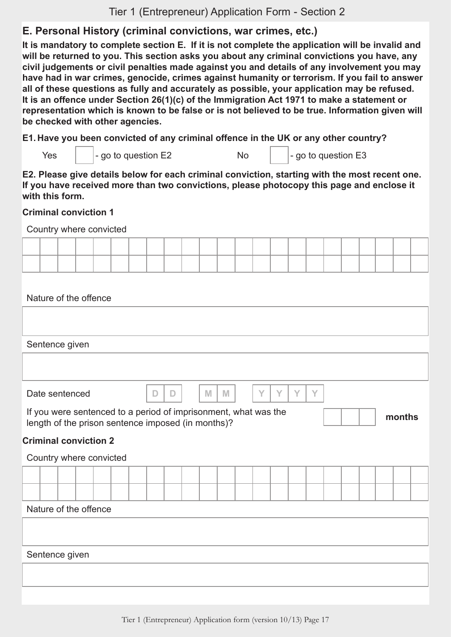## **E. Personal History (criminal convictions, war crimes, etc.)**

**It is mandatory to complete section E. If it is not complete the application will be invalid and will be returned to you. This section asks you about any criminal convictions you have, any civil judgements or civil penalties made against you and details of any involvement you may have had in war crimes, genocide, crimes against humanity or terrorism. If you fail to answer all of these questions as fully and accurately as possible, your application may be refused. It is an offence under Section 26(1)(c) of the Immigration Act 1971 to make a statement or representation which is known to be false or is not believed to be true. Information given will be checked with other agencies.**

**E1. Have you been convicted of any criminal offence in the UK or any other country?**

|  | Yes | $\vert$ - go to question E2 | Nc | $\vert$ - go to question E3 |
|--|-----|-----------------------------|----|-----------------------------|
|--|-----|-----------------------------|----|-----------------------------|

**E2. Please give details below for each criminal conviction, starting with the most recent one. If you have received more than two convictions, please photocopy this page and enclose it with this form.**

#### **Criminal conviction 1**

Country where convicted

| ______ |  |  |  |  |  | . |  |  |  |  |  |
|--------|--|--|--|--|--|---|--|--|--|--|--|
|        |  |  |  |  |  |   |  |  |  |  |  |

Nature of the offence

Sentence given

Date sentenced **D D M M Y Y Y Y**

If you were sentenced to a period of imprisonment, what was the length of the prison sentence imposed (in months)? **months**

**Criminal conviction 2**

# Country where convicted Nature of the offence

Sentence given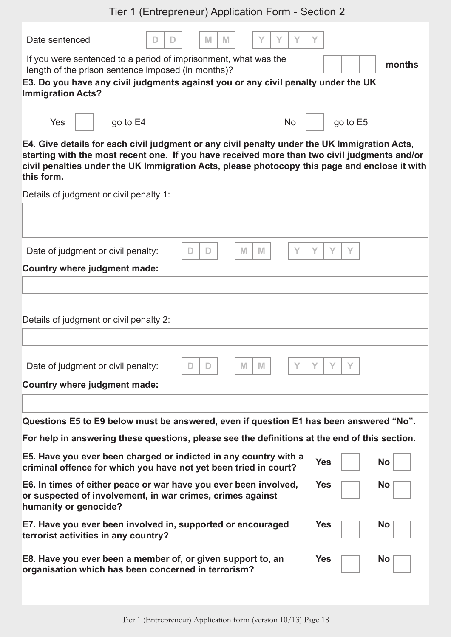| Tier 1 (Entrepreneur) Application Form - Section 2                                                                                                                                                                                                                                                          |                         |
|-------------------------------------------------------------------------------------------------------------------------------------------------------------------------------------------------------------------------------------------------------------------------------------------------------------|-------------------------|
| Date sentenced<br>M<br>M<br>Y<br>D<br>If you were sentenced to a period of imprisonment, what was the<br>length of the prison sentence imposed (in months)?<br>E3. Do you have any civil judgments against you or any civil penalty under the UK<br><b>Immigration Acts?</b>                                | months                  |
| Yes<br>go to E4<br><b>No</b>                                                                                                                                                                                                                                                                                | go to E5                |
| E4. Give details for each civil judgment or any civil penalty under the UK Immigration Acts,<br>starting with the most recent one. If you have received more than two civil judgments and/or<br>civil penalties under the UK Immigration Acts, please photocopy this page and enclose it with<br>this form. |                         |
| Details of judgment or civil penalty 1:                                                                                                                                                                                                                                                                     |                         |
|                                                                                                                                                                                                                                                                                                             |                         |
| M<br>M<br>Y<br>Date of judgment or civil penalty:<br>D<br>D<br><b>Country where judgment made:</b>                                                                                                                                                                                                          | Y<br>Y                  |
|                                                                                                                                                                                                                                                                                                             |                         |
| Details of judgment or civil penalty 2:                                                                                                                                                                                                                                                                     |                         |
| Date of judgment or civil penalty:<br>M<br>M                                                                                                                                                                                                                                                                |                         |
| <b>Country where judgment made:</b>                                                                                                                                                                                                                                                                         |                         |
|                                                                                                                                                                                                                                                                                                             |                         |
| Questions E5 to E9 below must be answered, even if question E1 has been answered "No".<br>For help in answering these questions, please see the definitions at the end of this section.                                                                                                                     |                         |
| E5. Have you ever been charged or indicted in any country with a<br>criminal offence for which you have not yet been tried in court?                                                                                                                                                                        | <b>Yes</b><br><b>No</b> |
| E6. In times of either peace or war have you ever been involved,<br>or suspected of involvement, in war crimes, crimes against<br>humanity or genocide?                                                                                                                                                     | <b>Yes</b><br><b>No</b> |
| E7. Have you ever been involved in, supported or encouraged<br>terrorist activities in any country?                                                                                                                                                                                                         | <b>Yes</b><br><b>No</b> |
| E8. Have you ever been a member of, or given support to, an<br>organisation which has been concerned in terrorism?                                                                                                                                                                                          | <b>Yes</b><br><b>No</b> |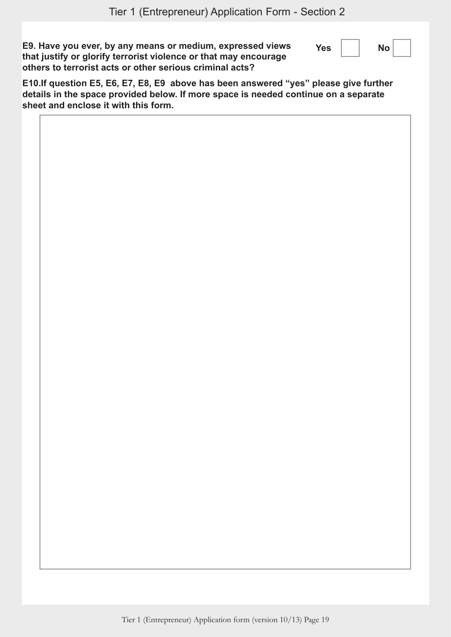| E9. Have you ever, by any means or medium, expressed views       | Yes | No i |  |
|------------------------------------------------------------------|-----|------|--|
| that justify or glorify terrorist violence or that may encourage |     |      |  |
| others to terrorist acts or other serious criminal acts?         |     |      |  |

**E10.If question E5, E6, E7, E8, E9 above has been answered "yes" please give further details in the space provided below. If more space is needed continue on a separate sheet and enclose it with this form.**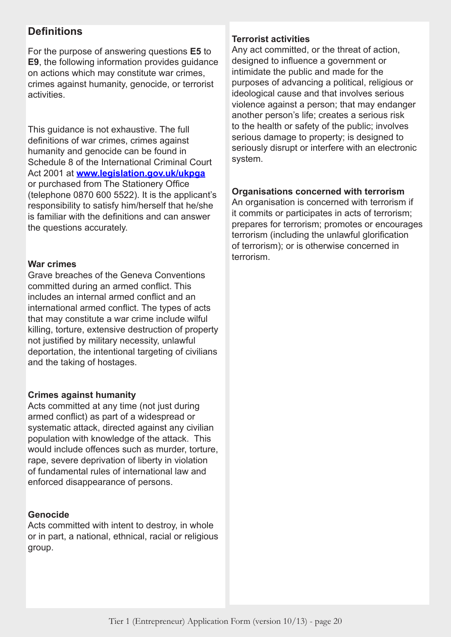## **Definitions**

For the purpose of answering questions **E5** to **E9**, the following information provides guidance on actions which may constitute war crimes, crimes against humanity, genocide, or terrorist activities.

This guidance is not exhaustive. The full definitions of war crimes, crimes against humanity and genocide can be found in Schedule 8 of the International Criminal Court Act 2001 at **[www.legislation.gov.uk/ukpga](http://www.legislation.gov.uk/ukpga)** or purchased from The Stationery Office (telephone 0870 600 5522). It is the applicant's responsibility to satisfy him/herself that he/she is familiar with the definitions and can answer the questions accurately.

#### **War crimes**

Grave breaches of the Geneva Conventions committed during an armed conflict. This includes an internal armed conflict and an international armed conflict. The types of acts that may constitute a war crime include wilful killing, torture, extensive destruction of property not justified by military necessity, unlawful deportation, the intentional targeting of civilians and the taking of hostages.

#### **Crimes against humanity**

Acts committed at any time (not just during armed conflict) as part of a widespread or systematic attack, directed against any civilian population with knowledge of the attack. This would include offences such as murder, torture, rape, severe deprivation of liberty in violation of fundamental rules of international law and enforced disappearance of persons.

#### **Genocide**

Acts committed with intent to destroy, in whole or in part, a national, ethnical, racial or religious group.

#### **Terrorist activities**

Any act committed, or the threat of action, designed to influence a government or intimidate the public and made for the purposes of advancing a political, religious or ideological cause and that involves serious violence against a person; that may endanger another person's life; creates a serious risk to the health or safety of the public; involves serious damage to property; is designed to seriously disrupt or interfere with an electronic system.

#### **Organisations concerned with terrorism**

An organisation is concerned with terrorism if it commits or participates in acts of terrorism; prepares for terrorism; promotes or encourages terrorism (including the unlawful glorification of terrorism); or is otherwise concerned in terrorism.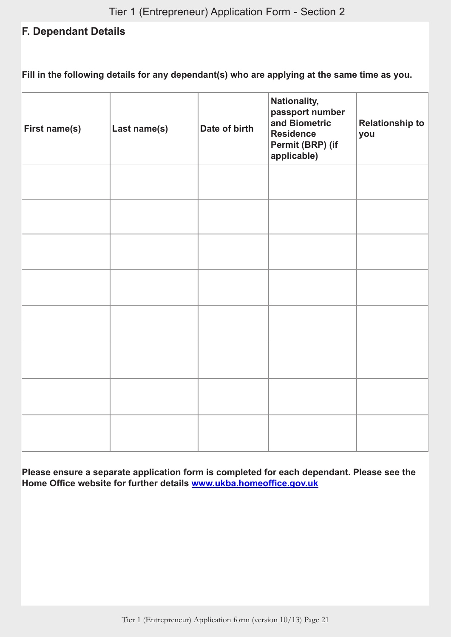## **F. Dependant Details**

**Fill in the following details for any dependant(s) who are applying at the same time as you.**

| <b>First name(s)</b> | Last name(s) | Date of birth | Nationality,<br>passport number<br>and Biometric<br><b>Residence</b><br>Permit (BRP) (if<br>applicable) | <b>Relationship to</b><br>you |
|----------------------|--------------|---------------|---------------------------------------------------------------------------------------------------------|-------------------------------|
|                      |              |               |                                                                                                         |                               |
|                      |              |               |                                                                                                         |                               |
|                      |              |               |                                                                                                         |                               |
|                      |              |               |                                                                                                         |                               |
|                      |              |               |                                                                                                         |                               |
|                      |              |               |                                                                                                         |                               |
|                      |              |               |                                                                                                         |                               |
|                      |              |               |                                                                                                         |                               |

**Please ensure a separate application form is completed for each dependant. Please see the Home Office website for further details <www.ukba.homeoffice.gov.uk>**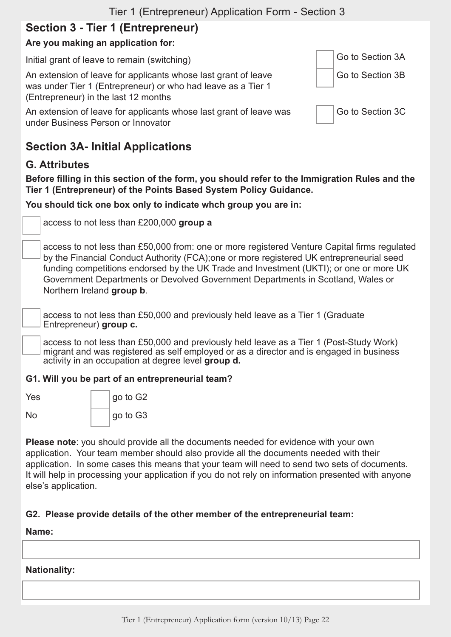## **Section 3 - Tier 1 (Entrepreneur)**

## **Are you making an application for:**

Initial grant of leave to remain (switching) Go to Section 3A

An extension of leave for applicants whose last grant of leave was under Tier 1 (Entrepreneur) or who had leave as a Tier 1 (Entrepreneur) in the last 12 months

An extension of leave for applicants whose last grant of leave was under Business Person or Innovator

Go to Section 3C

Go to Section 3B

## **Section 3A- Initial Applications**

## **G. Attributes**

**Before filling in this section of the form, you should refer to the Immigration Rules and the Tier 1 (Entrepreneur) of the Points Based System Policy Guidance.**

**You should tick one box only to indicate whch group you are in:**

access to not less than £200,000 **group a**

access to not less than £50,000 from: one or more registered Venture Capital firms regulated by the Financial Conduct Authority (FCA);one or more registered UK entrepreneurial seed funding competitions endorsed by the UK Trade and Investment (UKTI); or one or more UK Government Departments or Devolved Government Departments in Scotland, Wales or Northern Ireland **group b**.

access to not less than £50,000 and previously held leave as a Tier 1 (Graduate Entrepreneur) **group c.**

access to not less than £50,000 and previously held leave as a Tier 1 (Post-Study Work) migrant and was registered as self employed or as a director and is engaged in business activity in an occupation at degree level **group d.**

#### **G1. Will you be part of an entrepreneurial team?**

| Yes | go to G2 |
|-----|----------|
| No  | go to G3 |

**Please note**: you should provide all the documents needed for evidence with your own application. Your team member should also provide all the documents needed with their application. In some cases this means that your team will need to send two sets of documents. It will help in processing your application if you do not rely on information presented with anyone else's application.

#### **G2. Please provide details of the other member of the entrepreneurial team:**

#### **Name:**

#### **Nationality:**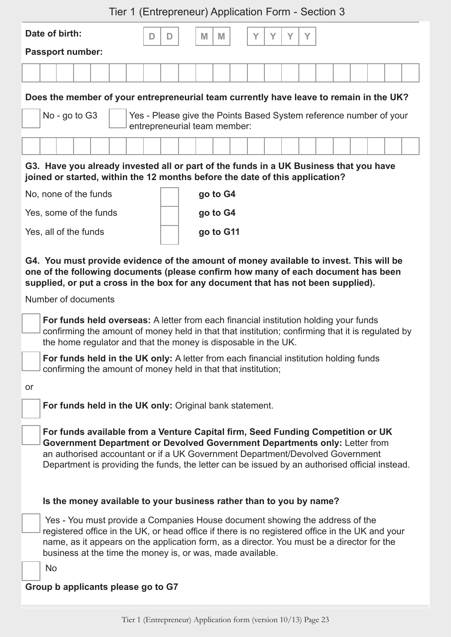| Date of birth:<br>V<br>M<br>$\checkmark$<br>V<br>M<br>D<br>D<br><b>Passport number:</b>                                                                                                               |  |  |  |  |  |  |  |
|-------------------------------------------------------------------------------------------------------------------------------------------------------------------------------------------------------|--|--|--|--|--|--|--|
|                                                                                                                                                                                                       |  |  |  |  |  |  |  |
|                                                                                                                                                                                                       |  |  |  |  |  |  |  |
|                                                                                                                                                                                                       |  |  |  |  |  |  |  |
| Does the member of your entrepreneurial team currently have leave to remain in the UK?<br>No - go to G3<br>Yes - Please give the Points Based System reference number of your                         |  |  |  |  |  |  |  |
| entrepreneurial team member:<br>G3. Have you already invested all or part of the funds in a UK Business that you have<br>joined or started, within the 12 months before the date of this application? |  |  |  |  |  |  |  |

| No, none of the funds  | go to G4  |
|------------------------|-----------|
| Yes, some of the funds | go to G4  |
| Yes, all of the funds  | go to G11 |

**G4. You must provide evidence of the amount of money available to invest. This will be one of the following documents (please confirm how many of each document has been supplied, or put a cross in the box for any document that has not been supplied).** 

Number of documents

**For funds held overseas:** A letter from each financial institution holding your funds confirming the amount of money held in that that institution; confirming that it is regulated by the home regulator and that the money is disposable in the UK.

**For funds held in the UK only:** A letter from each financial institution holding funds confirming the amount of money held in that that institution;

or

**For funds held in the UK only:** Original bank statement.

**For funds available from a Venture Capital firm, Seed Funding Competition or UK Government Department or Devolved Government Departments only:** Letter from an authorised accountant or if a UK Government Department/Devolved Government Department is providing the funds, the letter can be issued by an authorised official instead.

#### **Is the money available to your business rather than to you by name?**

 Yes - You must provide a Companies House document showing the address of the registered office in the UK, or head office if there is no registered office in the UK and your name, as it appears on the application form, as a director. You must be a director for the business at the time the money is, or was, made available.

No

#### **Group b applicants please go to G7**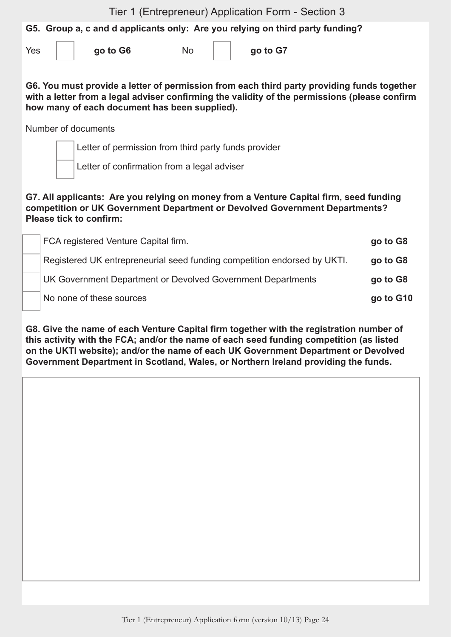| Tier 1 (Entrepreneur) Application Form - Section 3 |  |  |  |  |
|----------------------------------------------------|--|--|--|--|
|----------------------------------------------------|--|--|--|--|

**G5. Group a, c and d applicants only: Are you relying on third party funding?** 

Yes **go to G6** No **go to G7** 

**G6. You must provide a letter of permission from each third party providing funds together with a letter from a legal adviser confirming the validity of the permissions (please confirm how many of each document has been supplied).**

Number of documents

Letter of permission from third party funds provider

Letter of confirmation from a legal adviser

#### **G7. All applicants: Are you relying on money from a Venture Capital firm, seed funding competition or UK Government Department or Devolved Government Departments? Please tick to confirm:**

| FCA registered Venture Capital firm.                                     | go to G8  |
|--------------------------------------------------------------------------|-----------|
| Registered UK entrepreneurial seed funding competition endorsed by UKTI. | go to G8  |
| UK Government Department or Devolved Government Departments              | go to G8  |
| No none of these sources                                                 | go to G10 |
|                                                                          |           |

**G8. Give the name of each Venture Capital firm together with the registration number of this activity with the FCA; and/or the name of each seed funding competition (as listed on the UKTI website); and/or the name of each UK Government Department or Devolved Government Department in Scotland, Wales, or Northern Ireland providing the funds.**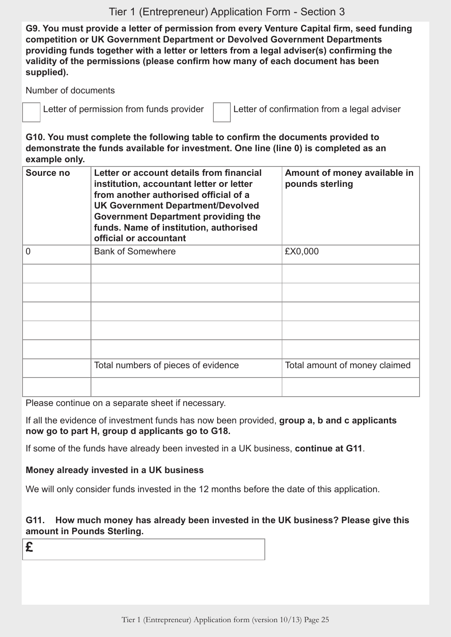**G9. You must provide a letter of permission from every Venture Capital firm, seed funding competition or UK Government Department or Devolved Government Departments providing funds together with a letter or letters from a legal adviser(s) confirming the validity of the permissions (please confirm how many of each document has been supplied).**

Number of documents

Letter of permission from funds provider  $\|$  Letter of confirmation from a legal adviser

**G10. You must complete the following table to confirm the documents provided to demonstrate the funds available for investment. One line (line 0) is completed as an example only.**

| Source no | Letter or account details from financial<br>institution, accountant letter or letter<br>from another authorised official of a<br><b>UK Government Department/Devolved</b><br><b>Government Department providing the</b><br>funds. Name of institution, authorised<br>official or accountant | Amount of money available in<br>pounds sterling |
|-----------|---------------------------------------------------------------------------------------------------------------------------------------------------------------------------------------------------------------------------------------------------------------------------------------------|-------------------------------------------------|
| 0         | <b>Bank of Somewhere</b>                                                                                                                                                                                                                                                                    | £X0,000                                         |
|           |                                                                                                                                                                                                                                                                                             |                                                 |
|           |                                                                                                                                                                                                                                                                                             |                                                 |
|           |                                                                                                                                                                                                                                                                                             |                                                 |
|           |                                                                                                                                                                                                                                                                                             |                                                 |
|           |                                                                                                                                                                                                                                                                                             |                                                 |
|           | Total numbers of pieces of evidence                                                                                                                                                                                                                                                         | Total amount of money claimed                   |
|           |                                                                                                                                                                                                                                                                                             |                                                 |

Please continue on a separate sheet if necessary.

If all the evidence of investment funds has now been provided, **group a, b and c applicants now go to part H, group d applicants go to G18.** 

If some of the funds have already been invested in a UK business, **continue at G11**.

#### **Money already invested in a UK business**

We will only consider funds invested in the 12 months before the date of this application.

#### **G11. How much money has already been invested in the UK business? Please give this amount in Pounds Sterling.**

**£**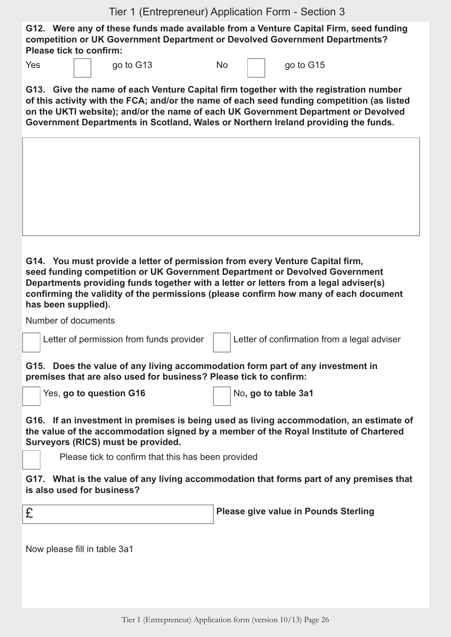**G12. Were any of these funds made available from a Venture Capital Firm, seed funding competition or UK Government Department or Devolved Government Departments? Please tick to confirm:**

|  | go to G1 |
|--|----------|
|  |          |

Yes <u>qo</u> to G13 No  $\sqrt{}$  qo to G15

**G13. Give the name of each Venture Capital firm together with the registration number of this activity with the FCA; and/or the name of each seed funding competition (as listed on the UKTI website); and/or the name of each UK Government Department or Devolved Government Departments in Scotland, Wales or Northern Ireland providing the funds.**

**G14. You must provide a letter of permission from every Venture Capital firm, seed funding competition or UK Government Department or Devolved Government Departments providing funds together with a letter or letters from a legal adviser(s) confirming the validity of the permissions (please confirm how many of each document has been supplied).**

Number of documents

Letter of permission from funds provider  $\|$  Letter of confirmation from a legal adviser

**G15. Does the value of any living accommodation form part of any investment in premises that are also used for business? Please tick to confirm:**

Yes, go to question G16 Magnetic Reserves and the State 3a1

**G16. If an investment in premises is being used as living accommodation, an estimate of the value of the accommodation signed by a member of the Royal Institute of Chartered Surveyors (RICS) must be provided.**

Please tick to confirm that this has been provided

**G17. What is the value of any living accommodation that forms part of any premises that is also used for business?**

£ **Please give value in Pounds Sterling**

Now please fill in table 3a1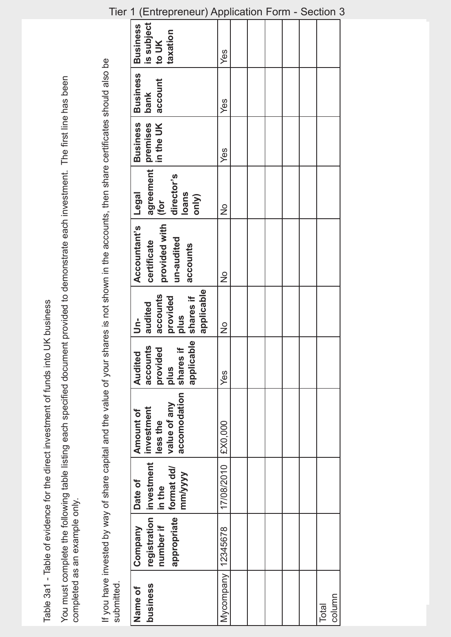Table 3a1 - Table of evidence for the direct investment of funds into UK business Table 3a1 - Table of evidence for the direct investment of funds into UK business

You must complete the following table listing each specified document provided to demonstrate each investment. The first line has been You must complete the following table listing each specified document provided to demonstrate each investment. The first line has been completed as an example only. completed as an example only.

If you have invested by way of share capital and the value of your shares is not shown in the accounts, then share certificates should also be<br>submitted. If you have invested by way of share capital and the value of your shares is not shown in the accounts, then share certificates should also be submitted.

| is subject<br><b>Business</b><br>taxation<br>to UK                                  | Yes           |  |  |                 |
|-------------------------------------------------------------------------------------|---------------|--|--|-----------------|
| <b>Business</b><br>account<br>bank                                                  | Yes           |  |  |                 |
| <b>Business</b>                                                                     | Yes           |  |  |                 |
| agreement premises<br>(for<br>director's<br><b>loans</b><br>only)<br>$\frac{1}{10}$ | $\frac{1}{2}$ |  |  |                 |
| Accountant's   Legal<br>provided with<br>un-audited<br>certificate<br>accounts      | $\frac{1}{2}$ |  |  |                 |
| applicable<br>shares if<br>accounts<br>provided<br>audited<br><b>snld</b><br>ś      | $\frac{1}{2}$ |  |  |                 |
| ble<br>accounts<br>provided<br>$\pm$<br>Audited<br>shares<br>applica<br>plus        | Yes           |  |  |                 |
| accomodation<br>value of any<br>Amount of<br>less the                               | £X0,000       |  |  |                 |
| registration   investment   investment<br>mm/yyyy<br>Date of<br>in the              | 17/08/2010    |  |  |                 |
| appropriate format dd/<br>number if<br>Company                                      | 12345678      |  |  |                 |
| business<br>Name of                                                                 | Mycompany     |  |  | column<br>Total |

Tier 1 (Entrepreneur) Application Form - Section 3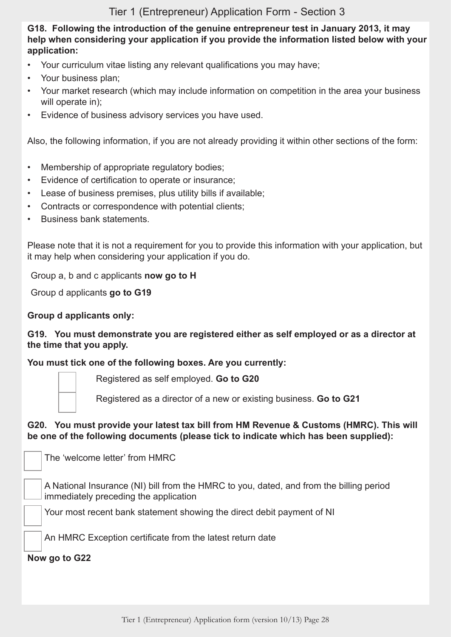**G18. Following the introduction of the genuine entrepreneur test in January 2013, it may help when considering your application if you provide the information listed below with your application:**

- Your curriculum vitae listing any relevant qualifications you may have;
- Your business plan;
- Your market research (which may include information on competition in the area your business will operate in);
- Evidence of business advisory services you have used.

Also, the following information, if you are not already providing it within other sections of the form:

- Membership of appropriate regulatory bodies;
- Evidence of certification to operate or insurance:
- Lease of business premises, plus utility bills if available;
- Contracts or correspondence with potential clients:
- Business bank statements.

Please note that it is not a requirement for you to provide this information with your application, but it may help when considering your application if you do.

Group a, b and c applicants **now go to H**

Group d applicants **go to G19**

#### **Group d applicants only:**

**G19. You must demonstrate you are registered either as self employed or as a director at the time that you apply.**

**You must tick one of the following boxes. Are you currently:**

Registered as self employed. **Go to G20**

Registered as a director of a new or existing business. **Go to G21**

#### **G20. You must provide your latest tax bill from HM Revenue & Customs (HMRC). This will be one of the following documents (please tick to indicate which has been supplied):**

The 'welcome letter' from HMRC

A National Insurance (NI) bill from the HMRC to you, dated, and from the billing period immediately preceding the application

Your most recent bank statement showing the direct debit payment of NI

An HMRC Exception certificate from the latest return date

**Now go to G22**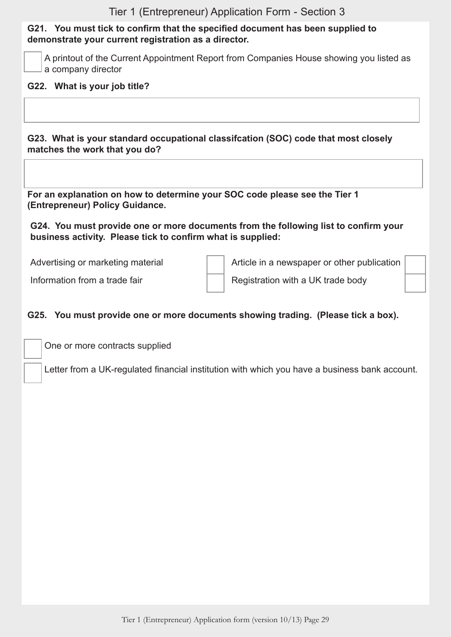#### **G21. You must tick to confirm that the specified document has been supplied to demonstrate your current registration as a director.**

A printout of the Current Appointment Report from Companies House showing you listed as a company director

#### **G22. What is your job title?**

**G23. What is your standard occupational classifcation (SOC) code that most closely matches the work that you do?**

**For an explanation on how to determine your SOC code please see the Tier 1 (Entrepreneur) Policy Guidance.**

**G24. You must provide one or more documents from the following list to confirm your business activity. Please tick to confirm what is supplied:**

Advertising or marketing material Article in a newspaper or other publication

Information from a trade fair  $\parallel$  | Registration with a UK trade body

#### **G25. You must provide one or more documents showing trading. (Please tick a box).**

One or more contracts supplied

Letter from a UK-regulated financial institution with which you have a business bank account.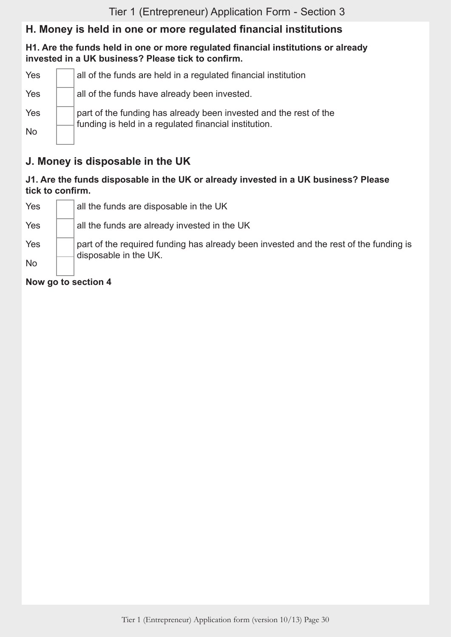## **H. Money is held in one or more regulated financial institutions**

#### **H1. Are the funds held in one or more regulated financial institutions or already invested in a UK business? Please tick to confirm.**

| Yes       | all of the funds are held in a regulated financial institution                                                             |
|-----------|----------------------------------------------------------------------------------------------------------------------------|
| Yes       | all of the funds have already been invested.                                                                               |
| Yes       | part of the funding has already been invested and the rest of the<br>funding is held in a regulated financial institution. |
| <b>No</b> |                                                                                                                            |

## **J. Money is disposable in the UK**

#### **J1. Are the funds disposable in the UK or already invested in a UK business? Please tick to confirm.**

| <b>No</b> |                                                                                                                |
|-----------|----------------------------------------------------------------------------------------------------------------|
| Yes       | part of the required funding has already been invested and the rest of the funding is<br>disposable in the UK. |
| Yes       | all the funds are already invested in the UK                                                                   |
| Yes       | all the funds are disposable in the UK                                                                         |

**Now go to section 4**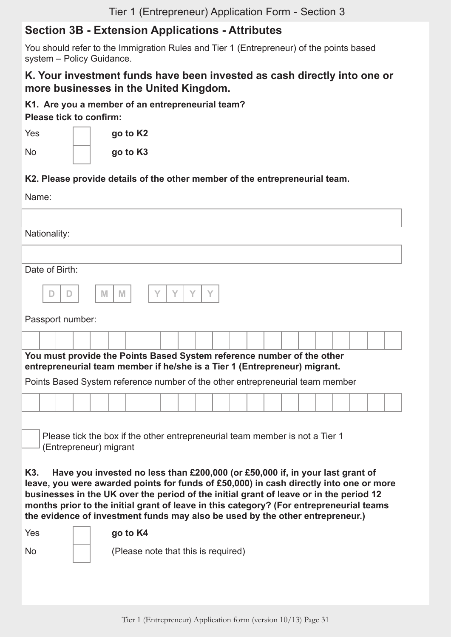## **Section 3B - Extension Applications - Attributes**

You should refer to the Immigration Rules and Tier 1 (Entrepreneur) of the points based system – Policy Guidance.

#### **K. Your investment funds have been invested as cash directly into one or more businesses in the United Kingdom.**

**K1. Are you a member of an entrepreneurial team?** 

**Please tick to confirm:**

Yes **go to K2**

No **go to K3**

#### **K2. Please provide details of the other member of the entrepreneurial team.**

| Name:                                                                                                                                               |  |  |  |  |  |  |  |
|-----------------------------------------------------------------------------------------------------------------------------------------------------|--|--|--|--|--|--|--|
|                                                                                                                                                     |  |  |  |  |  |  |  |
| Nationality:                                                                                                                                        |  |  |  |  |  |  |  |
|                                                                                                                                                     |  |  |  |  |  |  |  |
| Date of Birth:                                                                                                                                      |  |  |  |  |  |  |  |
| M<br>M                                                                                                                                              |  |  |  |  |  |  |  |
| Passport number:                                                                                                                                    |  |  |  |  |  |  |  |
|                                                                                                                                                     |  |  |  |  |  |  |  |
| You must provide the Points Based System reference number of the other<br>entrepreneurial team member if he/she is a Tier 1 (Entrepreneur) migrant. |  |  |  |  |  |  |  |
| Points Based System reference number of the other entrepreneurial team member                                                                       |  |  |  |  |  |  |  |
|                                                                                                                                                     |  |  |  |  |  |  |  |
| Please tick the box if the other entrepreneurial team member is not a Tier 1<br>(Entrepreneur) migrant                                              |  |  |  |  |  |  |  |

**K3. Have you invested no less than £200,000 (or £50,000 if, in your last grant of leave, you were awarded points for funds of £50,000) in cash directly into one or more businesses in the UK over the period of the initial grant of leave or in the period 12 months prior to the initial grant of leave in this category? (For entrepreneurial teams the evidence of investment funds may also be used by the other entrepreneur.)**

Yes **go to K4** No (Please note that this is required)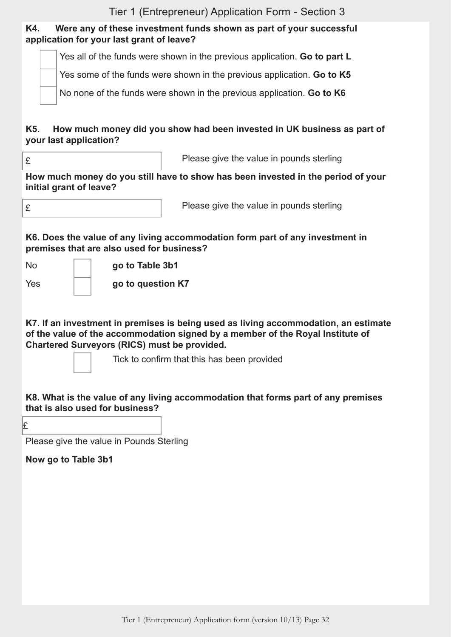#### **K4. Were any of these investment funds shown as part of your successful application for your last grant of leave?**

Yes all of the funds were shown in the previous application. **Go to part L**

Yes some of the funds were shown in the previous application. **Go to K5**

No none of the funds were shown in the previous application. **Go to K6**

#### **K5. How much money did you show had been invested in UK business as part of your last application?**

£ Please give the value in pounds sterling

**How much money do you still have to show has been invested in the period of your initial grant of leave?**

£ Please give the value in pounds sterling

#### **K6. Does the value of any living accommodation form part of any investment in premises that are also used for business?**

No **go to Table 3b1**

Yes **go to question K7**

**K7. If an investment in premises is being used as living accommodation, an estimate of the value of the accommodation signed by a member of the Royal Institute of Chartered Surveyors (RICS) must be provided.**

Tick to confirm that this has been provided

#### **K8. What is the value of any living accommodation that forms part of any premises that is also used for business?**

£

Please give the value in Pounds Sterling

**Now go to Table 3b1**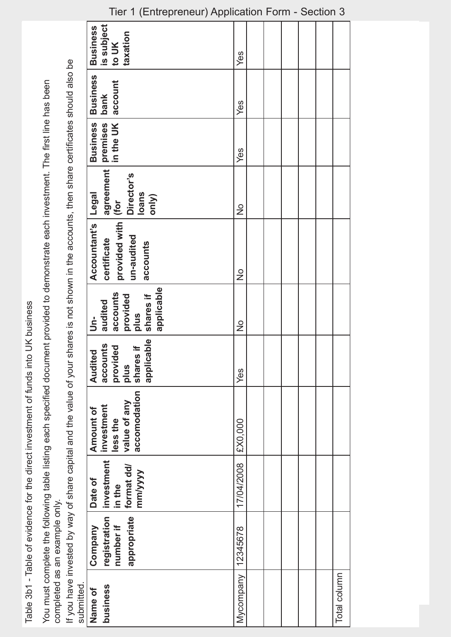Table 3b1 - Table of evidence for the direct investment of funds into UK business Table 3b1 - Table of evidence for the direct investment of funds into UK business

You must complete the following table listing each specified document provided to demonstrate each investment. The first line has been You must complete the following table listing each specified document provided to demonstrate each investment. The first line has been completed as an example only. completed as an example only.

If you have invested by way of share capital and the value of your shares is not shown in the accounts, then share certificates should also be If you have invested by way of share capital and the value of your shares is not shown in the accounts, then share certificates should also be submitted.

|            | $($ Liniopionomi/ $\mu$ ppiioan                                                             |               |  |  |              |
|------------|---------------------------------------------------------------------------------------------|---------------|--|--|--------------|
|            | is subject<br><b>Business</b><br>taxation<br>to UK                                          | Yes           |  |  |              |
|            | <b>Business</b> Business<br>account<br>bank                                                 | Yes           |  |  |              |
|            |                                                                                             | Yes           |  |  |              |
|            | agreement premises<br>for lin the UK<br>Director's<br><b>Legal</b><br><b>loans</b><br>only) | $\frac{1}{2}$ |  |  |              |
|            | provided with (for<br>Accountant's<br>un-audited<br>certificate<br>accounts                 | $\frac{1}{2}$ |  |  |              |
|            | applicable<br>shares if<br>accounts<br>provided<br>audited<br>plus<br>$\overline{5}$        | $\frac{1}{2}$ |  |  |              |
|            | applicable<br>accounts<br>provided<br>$\pm$<br>Audited<br>shares<br>plus                    | Yes           |  |  |              |
|            | accomodation<br>value of any<br>investment<br>Amount of<br>less the                         | £X0,000       |  |  |              |
|            | investment<br>format dd/<br>mm/yyyy<br>Date of                                              | 17/04/2008    |  |  |              |
|            | registration<br>appropriate<br>number if<br>Company                                         | 12345678      |  |  |              |
| submitted. | business<br>Name of                                                                         | Mycompany     |  |  | Total column |

#### Tier 1 (Entrepreneur) Application Form - Section 3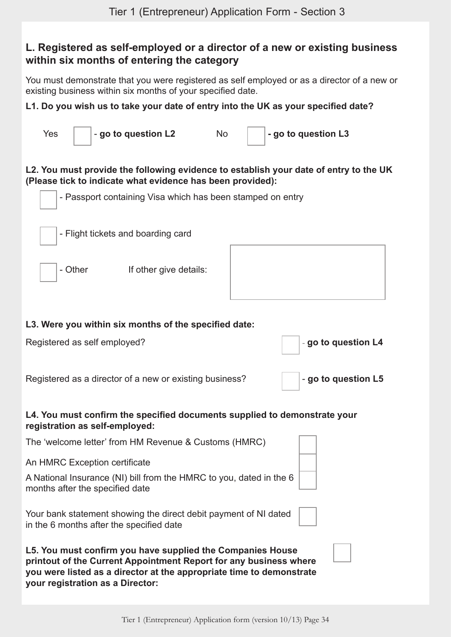## **L. Registered as self-employed or a director of a new or existing business within six months of entering the category**

You must demonstrate that you were registered as self employed or as a director of a new or existing business within six months of your specified date.

#### **L1. Do you wish us to take your date of entry into the UK as your specified date?**

| Yes                                                                                                                                                                                                     |                                 | - go to question L2                                                                                          | <b>No</b> |  | - go to question L3                                                                   |  |  |  |
|---------------------------------------------------------------------------------------------------------------------------------------------------------------------------------------------------------|---------------------------------|--------------------------------------------------------------------------------------------------------------|-----------|--|---------------------------------------------------------------------------------------|--|--|--|
|                                                                                                                                                                                                         |                                 | (Please tick to indicate what evidence has been provided):                                                   |           |  | L2. You must provide the following evidence to establish your date of entry to the UK |  |  |  |
| - Passport containing Visa which has been stamped on entry                                                                                                                                              |                                 |                                                                                                              |           |  |                                                                                       |  |  |  |
|                                                                                                                                                                                                         |                                 | - Flight tickets and boarding card                                                                           |           |  |                                                                                       |  |  |  |
|                                                                                                                                                                                                         | - Other                         | If other give details:                                                                                       |           |  |                                                                                       |  |  |  |
|                                                                                                                                                                                                         |                                 | L3. Were you within six months of the specified date:                                                        |           |  |                                                                                       |  |  |  |
|                                                                                                                                                                                                         | Registered as self employed?    |                                                                                                              |           |  | - go to question L4                                                                   |  |  |  |
|                                                                                                                                                                                                         |                                 | Registered as a director of a new or existing business?                                                      |           |  | - go to question L5                                                                   |  |  |  |
|                                                                                                                                                                                                         | registration as self-employed:  |                                                                                                              |           |  | L4. You must confirm the specified documents supplied to demonstrate your             |  |  |  |
|                                                                                                                                                                                                         |                                 | The 'welcome letter' from HM Revenue & Customs (HMRC)                                                        |           |  |                                                                                       |  |  |  |
|                                                                                                                                                                                                         | An HMRC Exception certificate   |                                                                                                              |           |  |                                                                                       |  |  |  |
|                                                                                                                                                                                                         | months after the specified date | A National Insurance (NI) bill from the HMRC to you, dated in the 6                                          |           |  |                                                                                       |  |  |  |
|                                                                                                                                                                                                         |                                 | Your bank statement showing the direct debit payment of NI dated<br>in the 6 months after the specified date |           |  |                                                                                       |  |  |  |
| L5. You must confirm you have supplied the Companies House<br>printout of the Current Appointment Report for any business where<br>you were listed as a director at the appropriate time to demonstrate |                                 |                                                                                                              |           |  |                                                                                       |  |  |  |

**your registration as a Director:**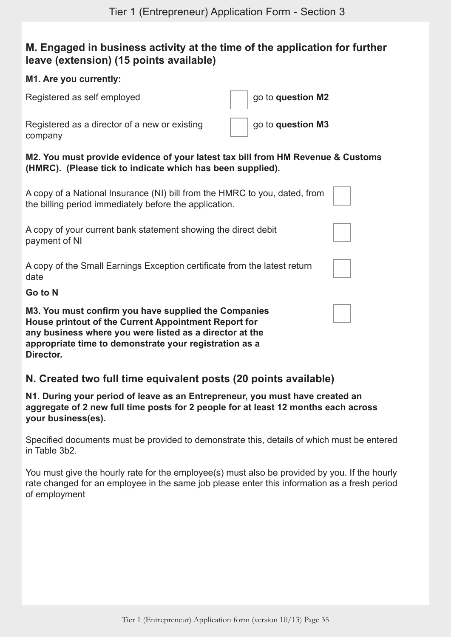## **M. Engaged in business activity at the time of the application for further leave (extension) (15 points available)**

#### **M1. Are you currently:**

Registered as self employed **go the self of the self of the self of the self of the self of the self of the self of the self of the self of the self of the self of the self of the self of the self of the self of the self o** 

Registered as a director of a new or existing company

go to **question M3**

**M2. You must provide evidence of your latest tax bill from HM Revenue & Customs (HMRC). (Please tick to indicate which has been supplied).**

| A copy of a National Insurance (NI) bill from the HMRC to you, dated, from |  |
|----------------------------------------------------------------------------|--|
| the billing period immediately before the application.                     |  |

A copy of your current bank statement showing the direct debit payment of NI

A copy of the Small Earnings Exception certificate from the latest return date

#### **Go to N**

**M3. You must confirm you have supplied the Companies House printout of the Current Appointment Report for any business where you were listed as a director at the appropriate time to demonstrate your registration as a Director.**

## **N. Created two full time equivalent posts (20 points available)**

**N1. During your period of leave as an Entrepreneur, you must have created an aggregate of 2 new full time posts for 2 people for at least 12 months each across your business(es).**

Specified documents must be provided to demonstrate this, details of which must be entered in Table 3b2.

You must give the hourly rate for the employee(s) must also be provided by you. If the hourly rate changed for an employee in the same job please enter this information as a fresh period of employment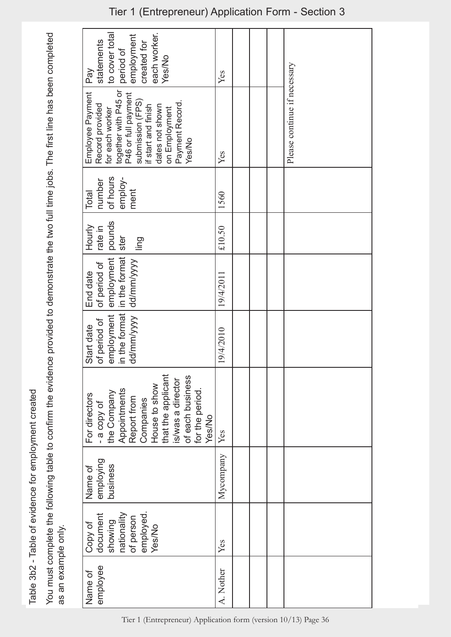Table 3b2 - Table of evidence for employment created Table 3b2 - Table of evidence for employment created

You must complete the following table to confirm the evidence provided to demonstrate the two full time jobs. The first line has been completed You must complete the following table to confirm the evidence provided to demonstrate the two full time jobs. The first line has been completed as an example only. as an example only.

| to cover total<br>each worker.<br>employment<br>created for<br>statements<br>period of<br><b>Yes/No</b><br>Pay                                                                                                           | Yes       |                              |
|--------------------------------------------------------------------------------------------------------------------------------------------------------------------------------------------------------------------------|-----------|------------------------------|
| together with P45 or<br>Employee Payment<br>P46 or full payment<br>submission (FPS)<br>Payment Record.<br>if start and finish<br>dates not shown<br>Record provided<br>on Employment<br>for each worker<br><b>Yes/No</b> | Yes       | Please continue if necessary |
| number<br>of hours<br>employ-<br>ment<br>Total                                                                                                                                                                           | 1560      |                              |
| pounds<br>Hourly<br>rate in<br>ster<br>ling                                                                                                                                                                              | £10.50    |                              |
| in the format<br>employment<br>of period of<br>End date                                                                                                                                                                  | 19/4/2011 |                              |
| dd/mm/yyyy dd/mm/yyyy<br>in the format<br>employment<br>of period of<br>Start date                                                                                                                                       | 9/4/2010  |                              |
| that the applicant<br>is/was a director<br>of each business<br>House to show<br>for the period.<br>Appointments<br>Report from<br>Companies<br>- a copy of<br>the Company<br>For directors<br><b>Yes/No</b>              | Yes       |                              |
| employing<br>business<br>Name of                                                                                                                                                                                         | Mycompany |                              |
| employed<br>Copy of<br>document<br>nationality<br>of person<br>showing<br><b>Yes/No</b>                                                                                                                                  | Yes       |                              |
| employee<br>Name of                                                                                                                                                                                                      | A. Nother |                              |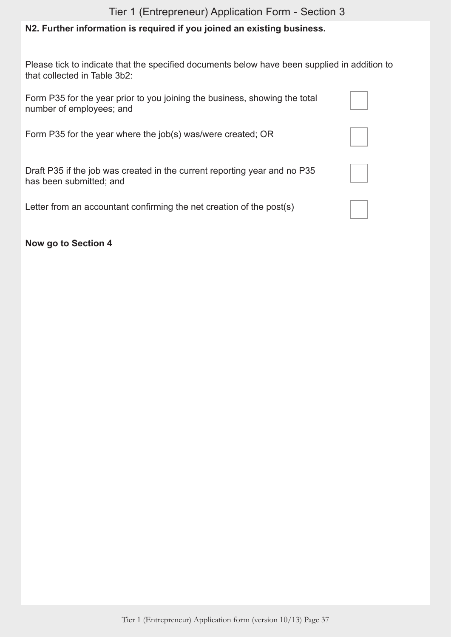## **N2. Further information is required if you joined an existing business.**

Please tick to indicate that the specified documents below have been supplied in addition to that collected in Table 3b2:

| Form P35 for the year prior to you joining the business, showing the total<br>number of employees; and |  |
|--------------------------------------------------------------------------------------------------------|--|
| Form P35 for the year where the job(s) was/were created; OR                                            |  |
| Draft P35 if the job was created in the current reporting year and no P35<br>has been submitted; and   |  |
| Letter from an accountant confirming the net creation of the post(s)                                   |  |

**Now go to Section 4**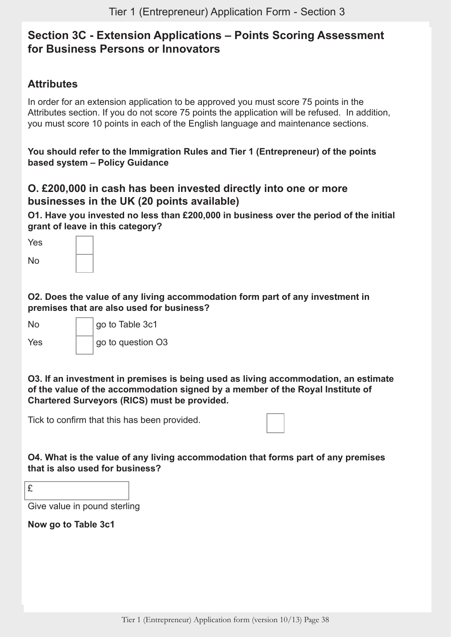## **Section 3C - Extension Applications – Points Scoring Assessment for Business Persons or Innovators**

## **Attributes**

In order for an extension application to be approved you must score 75 points in the Attributes section. If you do not score 75 points the application will be refused. In addition, you must score 10 points in each of the English language and maintenance sections.

**You should refer to the Immigration Rules and Tier 1 (Entrepreneur) of the points based system – Policy Guidance**

#### **O. £200,000 in cash has been invested directly into one or more businesses in the UK (20 points available)**

**O1. Have you invested no less than £200,000 in business over the period of the initial grant of leave in this category?**

| Yes       |  |
|-----------|--|
| <b>No</b> |  |

**O2. Does the value of any living accommodation form part of any investment in premises that are also used for business?**

| No. | go to Table 3c1   |
|-----|-------------------|
| Yes | go to question O3 |

**O3. If an investment in premises is being used as living accommodation, an estimate of the value of the accommodation signed by a member of the Royal Institute of Chartered Surveyors (RICS) must be provided.**

Tick to confirm that this has been provided.

**O4. What is the value of any living accommodation that forms part of any premises that is also used for business?**

| . .<br>. . |
|------------|
|            |
| ÷<br>۰.    |

Give value in pound sterling

**Now go to Table 3c1**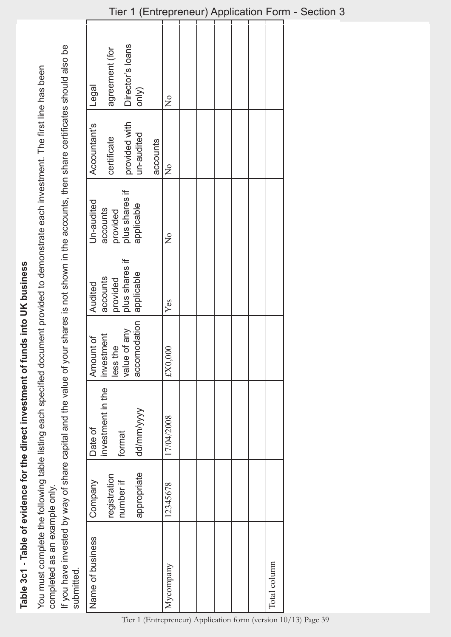Table 3c1 - Table of evidence for the direct investment of funds into UK business **Table 3c1 - Table of evidence for the direct investment of funds into UK business**

You must complete the following table listing each specified document provided to demonstrate each investment. The first line has been You must complete the following table listing each specified document provided to demonstrate each investment. The first line has been completed as an example only. completed as an example only. If you have invested by way of share capital and the value of your shares is not shown in the accounts, then share certificates should also be If you have invested by way of share capital and the value of your shares is not shown in the accounts, then share certificates should also be submitted. submitted.

| Legal            | agreement (for            | Director's loans           | $\binom{N}{k}$    |          | $\overline{Q}$ |                                                                |  |              |
|------------------|---------------------------|----------------------------|-------------------|----------|----------------|----------------------------------------------------------------|--|--------------|
| Accountant's     | certificate               | provided with              | un-audited        | accounts | $\frac{1}{2}$  |                                                                |  |              |
| Un-audited       | accounts                  | provided<br>plus shares if | applicable        |          | $\frac{1}{2}$  |                                                                |  |              |
| Audited          | accounts<br>provided      | plus shares if             | applicable        |          | Yes            |                                                                |  |              |
| Amount of        | investment<br>less the    | value of any               | modation<br>accor |          | $$000,000$     |                                                                |  |              |
| Date of          | investment in the         | format                     | dd/mm/yyyy        |          | 17/04/2008     |                                                                |  |              |
| Company          | registration<br>number if |                            | appropriate       |          | 12345678       |                                                                |  |              |
| Name of business |                           |                            |                   |          | Mycompany      | Tier 1 (Entrepreneur) Application form (version 10/13) Page 39 |  | Total column |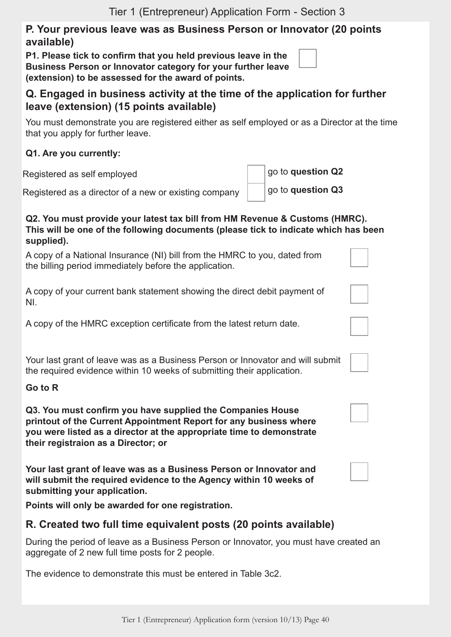#### **P. Your previous leave was as Business Person or Innovator (20 points available)**

**P1. Please tick to confirm that you held previous leave in the Business Person or Innovator category for your further leave (extension) to be assessed for the award of points.**

## **Q. Engaged in business activity at the time of the application for further leave (extension) (15 points available)**

You must demonstrate you are registered either as self employed or as a Director at the time that you apply for further leave.

#### **Q1. Are you currently:**

Registered as self employed **go to question Q2** 

Registered as a director of a new or existing company  $\vert$  | go to **question Q3** 

#### **Q2. You must provide your latest tax bill from HM Revenue & Customs (HMRC). This will be one of the following documents (please tick to indicate which has been supplied).**

A copy of a National Insurance (NI) bill from the HMRC to you, dated from the billing period immediately before the application.

A copy of your current bank statement showing the direct debit payment of NI.

A copy of the HMRC exception certificate from the latest return date.

Your last grant of leave was as a Business Person or Innovator and will submit the required evidence within 10 weeks of submitting their application.

#### **Go to R**

**Q3. You must confirm you have supplied the Companies House printout of the Current Appointment Report for any business where you were listed as a director at the appropriate time to demonstrate their registraion as a Director; or**

**Your last grant of leave was as a Business Person or Innovator and will submit the required evidence to the Agency within 10 weeks of submitting your application.**

**Points will only be awarded for one registration.**

## **R. Created two full time equivalent posts (20 points available)**

During the period of leave as a Business Person or Innovator, you must have created an aggregate of 2 new full time posts for 2 people.

The evidence to demonstrate this must be entered in Table 3c2.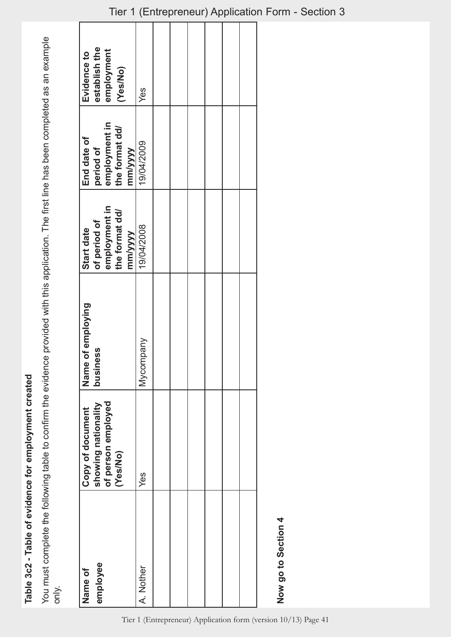Table 3c2 - Table of evidence for employment created **Table 3c2 - Table of evidence for employment created**

You must complete the following table to confirm the evidence provided with this application. The first line has been completed as an example You must complete the following table to confirm the evidence provided with this application. The first line has been completed as an example only.

| employee<br>Name of | of person employed<br>showing nationality<br>Copy of document | of employing<br>ess<br>Name<br>busine | of period of<br>Start date                 | End date of<br>period of                   | establish the<br>employment<br>Evidence to |
|---------------------|---------------------------------------------------------------|---------------------------------------|--------------------------------------------|--------------------------------------------|--------------------------------------------|
|                     | (Yes/No)                                                      |                                       | employment in<br>the format dd/<br>mm/yyyy | employment in<br>the format dd/<br>mm/yyyy | (Yes/No)                                   |
| A. Nother           | Yes                                                           | Mycompany                             | 19/04/2008                                 | 19/04/2009                                 | Yes                                        |
|                     |                                                               |                                       |                                            |                                            |                                            |
|                     |                                                               |                                       |                                            |                                            |                                            |
|                     |                                                               |                                       |                                            |                                            |                                            |
|                     |                                                               |                                       |                                            |                                            |                                            |
|                     |                                                               |                                       |                                            |                                            |                                            |
|                     |                                                               |                                       |                                            |                                            |                                            |
| Now go to Section 4 |                                                               |                                       |                                            |                                            |                                            |

## Tier 1 (Entrepreneur) Application Form - Section 3

Tier 1 (Entrepreneur) Application form (version 10/13) Page 41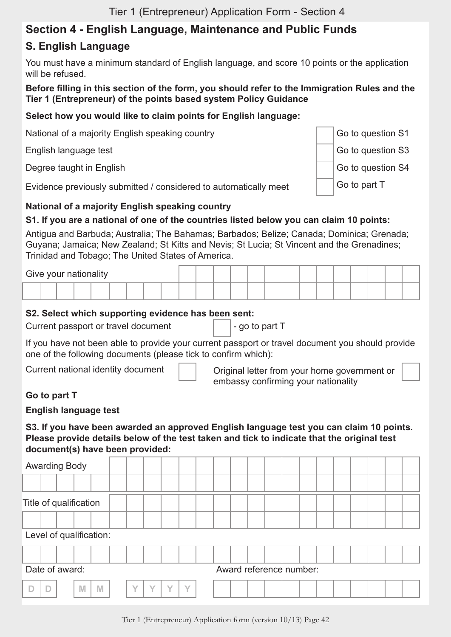## **Section 4 - English Language, Maintenance and Public Funds**

#### **S. English Language**

You must have a minimum standard of English language, and score 10 points or the application will be refused.

**Before filling in this section of the form, you should refer to the Immigration Rules and the Tier 1 (Entrepreneur) of the points based system Policy Guidance**

#### **Select how you would like to claim points for English language:**

National of a majority English speaking country Go Controllery Analysis of Go to question S1

English language test Go to question S3

Degree taught in English Go to question S4

Evidence previously submitted / considered to automatically meet  $\Box$  Go to part T

#### **National of a majority English speaking country**

#### **S1. If you are a national of one of the countries listed below you can claim 10 points:**

Antigua and Barbuda; Australia; The Bahamas; Barbados; Belize; Canada; Dominica; Grenada; Guyana; Jamaica; New Zealand; St Kitts and Nevis; St Lucia; St Vincent and the Grenadines; Trinidad and Tobago; The United States of America.

| Give your nationality |  |  |  |  |  |  |  |  |  |  |  |  |  |  |
|-----------------------|--|--|--|--|--|--|--|--|--|--|--|--|--|--|
|                       |  |  |  |  |  |  |  |  |  |  |  |  |  |  |

#### **S2. Select which supporting evidence has been sent:**

Current passport or travel document  $\vert$  |-go to part T

If you have not been able to provide your current passport or travel document you should provide one of the following documents (please tick to confirm which):

Current national identity document  $\parallel$   $\parallel$  Original letter from your home government or embassy confirming your nationality

#### **Go to part T**

#### **English language test**

#### **S3. If you have been awarded an approved English language test you can claim 10 points. Please provide details below of the test taken and tick to indicate that the original test document(s) have been provided:**

| <b>Awarding Body</b>    |        |           |        |           |           |  |                         |  |  |  |  |  |
|-------------------------|--------|-----------|--------|-----------|-----------|--|-------------------------|--|--|--|--|--|
|                         |        |           |        |           |           |  |                         |  |  |  |  |  |
| Title of qualification  |        |           |        |           |           |  |                         |  |  |  |  |  |
|                         |        |           |        |           |           |  |                         |  |  |  |  |  |
| Level of qualification: |        |           |        |           |           |  |                         |  |  |  |  |  |
|                         |        |           |        |           |           |  |                         |  |  |  |  |  |
| Date of award:          |        |           |        |           |           |  | Award reference number: |  |  |  |  |  |
| D                       | M<br>M | $\sqrt{}$ | $\vee$ | $\sqrt{}$ | $\sqrt{}$ |  |                         |  |  |  |  |  |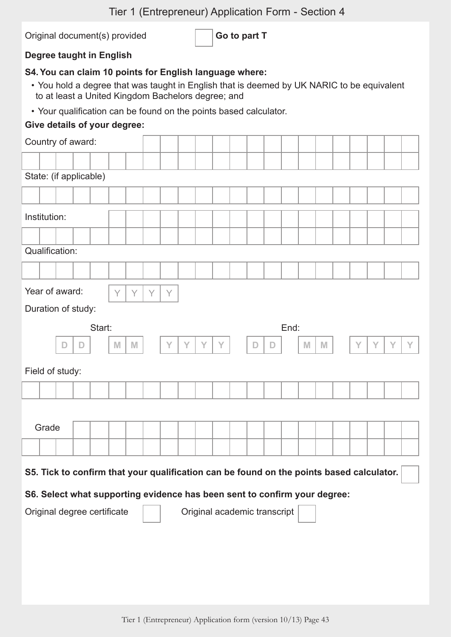Original document(s) provided **Go to part T** 

#### **Degree taught in English**

#### **S4.You can claim 10 points for English language where:**

- You hold a degree that was taught in English that is deemed by UK NARIC to be equivalent to at least a United Kingdom Bachelors degree; and
- Your qualification can be found on the points based calculator.

#### **Give details of your degree:**

|              | Country of award:      |   |                                                                                          |   |   |   |   |   |   |   |                              |   |      |   |   |   |   |   |   |
|--------------|------------------------|---|------------------------------------------------------------------------------------------|---|---|---|---|---|---|---|------------------------------|---|------|---|---|---|---|---|---|
|              |                        |   |                                                                                          |   |   |   |   |   |   |   |                              |   |      |   |   |   |   |   |   |
|              | State: (if applicable) |   |                                                                                          |   |   |   |   |   |   |   |                              |   |      |   |   |   |   |   |   |
|              |                        |   |                                                                                          |   |   |   |   |   |   |   |                              |   |      |   |   |   |   |   |   |
| Institution: |                        |   |                                                                                          |   |   |   |   |   |   |   |                              |   |      |   |   |   |   |   |   |
|              |                        |   |                                                                                          |   |   |   |   |   |   |   |                              |   |      |   |   |   |   |   |   |
|              | Qualification:         |   |                                                                                          |   |   |   |   |   |   |   |                              |   |      |   |   |   |   |   |   |
|              |                        |   |                                                                                          |   |   |   |   |   |   |   |                              |   |      |   |   |   |   |   |   |
|              | Year of award:         |   |                                                                                          | Y | Y | Y | Y |   |   |   |                              |   |      |   |   |   |   |   |   |
|              | Duration of study:     |   |                                                                                          |   |   |   |   |   |   |   |                              |   |      |   |   |   |   |   |   |
|              |                        |   | Start:                                                                                   |   |   |   |   |   |   |   |                              |   | End: |   |   |   |   |   |   |
|              | $\mathbb D$            | D |                                                                                          | M | M |   | Y | Y | Y | Y | D                            | D |      | M | M | Y | Y | Y | Υ |
|              | Field of study:        |   |                                                                                          |   |   |   |   |   |   |   |                              |   |      |   |   |   |   |   |   |
|              |                        |   |                                                                                          |   |   |   |   |   |   |   |                              |   |      |   |   |   |   |   |   |
|              |                        |   |                                                                                          |   |   |   |   |   |   |   |                              |   |      |   |   |   |   |   |   |
|              |                        |   |                                                                                          |   |   |   |   |   |   |   |                              |   |      |   |   |   |   |   |   |
| Grade        |                        |   |                                                                                          |   |   |   |   |   |   |   |                              |   |      |   |   |   |   |   |   |
|              |                        |   |                                                                                          |   |   |   |   |   |   |   |                              |   |      |   |   |   |   |   |   |
|              |                        |   |                                                                                          |   |   |   |   |   |   |   |                              |   |      |   |   |   |   |   |   |
|              |                        |   | S5. Tick to confirm that your qualification can be found on the points based calculator. |   |   |   |   |   |   |   |                              |   |      |   |   |   |   |   |   |
|              |                        |   | S6. Select what supporting evidence has been sent to confirm your degree:                |   |   |   |   |   |   |   |                              |   |      |   |   |   |   |   |   |
|              |                        |   | Original degree certificate                                                              |   |   |   |   |   |   |   | Original academic transcript |   |      |   |   |   |   |   |   |
|              |                        |   |                                                                                          |   |   |   |   |   |   |   |                              |   |      |   |   |   |   |   |   |
|              |                        |   |                                                                                          |   |   |   |   |   |   |   |                              |   |      |   |   |   |   |   |   |
|              |                        |   |                                                                                          |   |   |   |   |   |   |   |                              |   |      |   |   |   |   |   |   |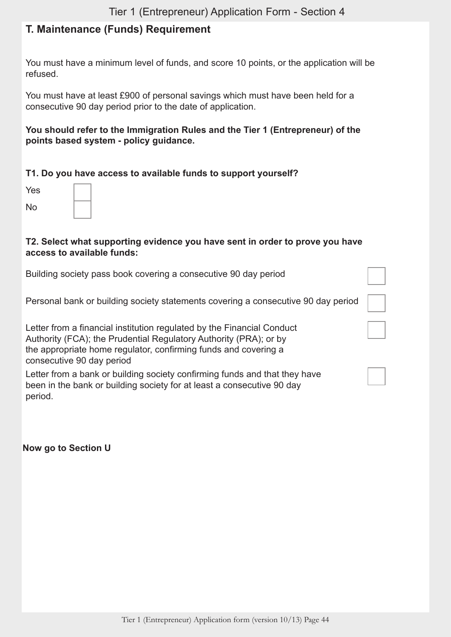## **T. Maintenance (Funds) Requirement**

You must have a minimum level of funds, and score 10 points, or the application will be refused.

You must have at least £900 of personal savings which must have been held for a consecutive 90 day period prior to the date of application.

#### **You should refer to the Immigration Rules and the Tier 1 (Entrepreneur) of the points based system - policy guidance.**

#### **T1. Do you have access to available funds to support yourself?**

| Yes            |  |
|----------------|--|
| N <sub>o</sub> |  |

#### **T2. Select what supporting evidence you have sent in order to prove you have access to available funds:**

| Building society pass book covering a consecutive 90 day period                                                                                                                                                                             |  |
|---------------------------------------------------------------------------------------------------------------------------------------------------------------------------------------------------------------------------------------------|--|
| Personal bank or building society statements covering a consecutive 90 day period                                                                                                                                                           |  |
| Letter from a financial institution regulated by the Financial Conduct<br>Authority (FCA); the Prudential Regulatory Authority (PRA); or by<br>the appropriate home regulator, confirming funds and covering a<br>consecutive 90 day period |  |
| Letter from a bank or building society confirming funds and that they have<br>been in the bank or building society for at least a consecutive 90 day<br>period.                                                                             |  |

**Now go to Section U**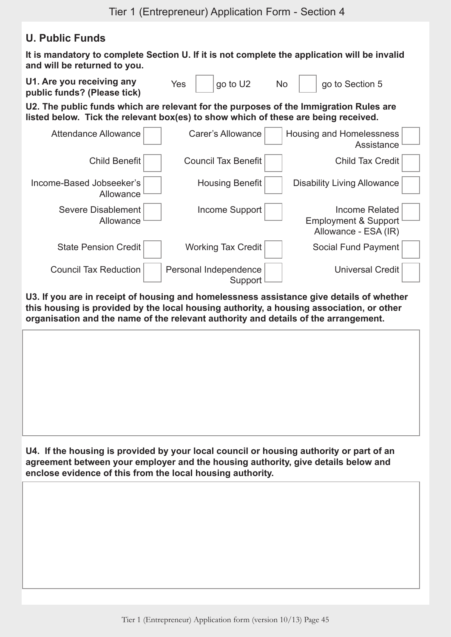## **U. Public Funds**

**It is mandatory to complete Section U. If it is not complete the application will be invalid and will be returned to you.**



**U3. If you are in receipt of housing and homelessness assistance give details of whether this housing is provided by the local housing authority, a housing association, or other organisation and the name of the relevant authority and details of the arrangement.**

**U4. If the housing is provided by your local council or housing authority or part of an agreement between your employer and the housing authority, give details below and enclose evidence of this from the local housing authority.**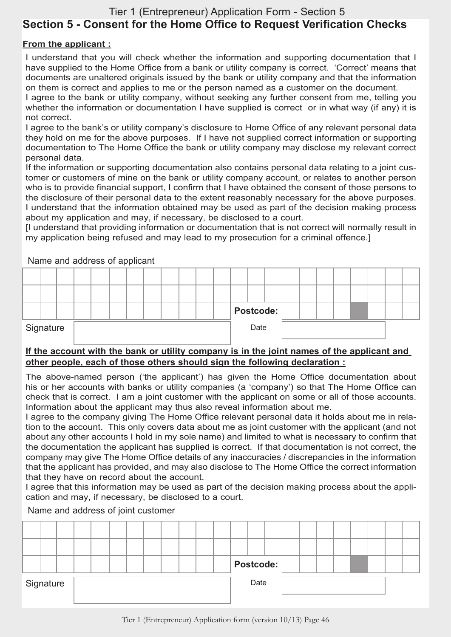## Tier 1 (Entrepreneur) Application Form - Section 5 **Section 5 - Consent for the Home Office to Request Verification Checks**

#### **From the applicant :**

I understand that you will check whether the information and supporting documentation that I have supplied to the Home Office from a bank or utility company is correct. 'Correct' means that documents are unaltered originals issued by the bank or utility company and that the information on them is correct and applies to me or the person named as a customer on the document.

I agree to the bank or utility company, without seeking any further consent from me, telling you whether the information or documentation I have supplied is correct or in what way (if any) it is not correct.

I agree to the bank's or utility company's disclosure to Home Office of any relevant personal data they hold on me for the above purposes. If I have not supplied correct information or supporting documentation to The Home Office the bank or utility company may disclose my relevant correct personal data.

If the information or supporting documentation also contains personal data relating to a joint customer or customers of mine on the bank or utility company account, or relates to another person who is to provide financial support, I confirm that I have obtained the consent of those persons to the disclosure of their personal data to the extent reasonably necessary for the above purposes. I understand that the information obtained may be used as part of the decision making process about my application and may, if necessary, be disclosed to a court.

[I understand that providing information or documentation that is not correct will normally result in my application being refused and may lead to my prosecution for a criminal offence.]

|           |  | Thermal and address of applicant |  |  |  |           |      |  |  |  |  |  |
|-----------|--|----------------------------------|--|--|--|-----------|------|--|--|--|--|--|
|           |  |                                  |  |  |  |           |      |  |  |  |  |  |
|           |  |                                  |  |  |  |           |      |  |  |  |  |  |
|           |  |                                  |  |  |  | Postcode: |      |  |  |  |  |  |
| Signature |  |                                  |  |  |  |           | Date |  |  |  |  |  |

Name and address of applicant

#### **If the account with the bank or utility company is in the joint names of the applicant and other people, each of those others should sign the following declaration :**

The above-named person ('the applicant') has given the Home Office documentation about his or her accounts with banks or utility companies (a 'company') so that The Home Office can check that is correct. I am a joint customer with the applicant on some or all of those accounts. Information about the applicant may thus also reveal information about me.

I agree to the company giving The Home Office relevant personal data it holds about me in relation to the account. This only covers data about me as joint customer with the applicant (and not about any other accounts I hold in my sole name) and limited to what is necessary to confirm that the documentation the applicant has supplied is correct. If that documentation is not correct, the company may give The Home Office details of any inaccuracies / discrepancies in the information that the applicant has provided, and may also disclose to The Home Office the correct information that they have on record about the account.

I agree that this information may be used as part of the decision making process about the application and may, if necessary, be disclosed to a court.

#### Name and address of joint customer

|           |  |  |  |  |  |  |      | Postcode: |  |  |  |  |
|-----------|--|--|--|--|--|--|------|-----------|--|--|--|--|
| Signature |  |  |  |  |  |  | Date |           |  |  |  |  |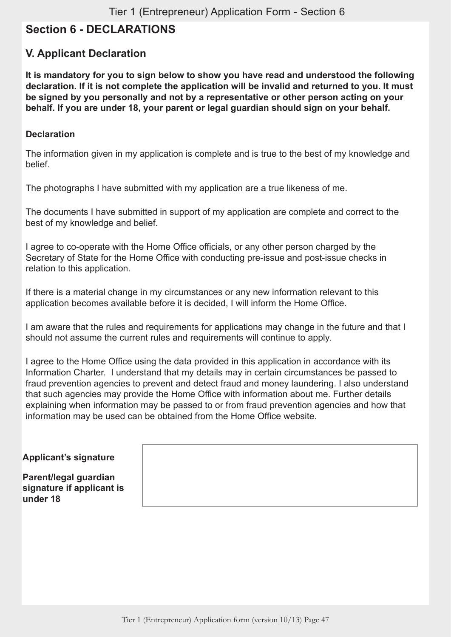## **Section 6 - DECLARATIONS**

## **V. Applicant Declaration**

**It is mandatory for you to sign below to show you have read and understood the following declaration. If it is not complete the application will be invalid and returned to you. It must be signed by you personally and not by a representative or other person acting on your behalf. If you are under 18, your parent or legal guardian should sign on your behalf.**

#### **Declaration**

The information given in my application is complete and is true to the best of my knowledge and belief.

The photographs I have submitted with my application are a true likeness of me.

The documents I have submitted in support of my application are complete and correct to the best of my knowledge and belief.

I agree to co-operate with the Home Office officials, or any other person charged by the Secretary of State for the Home Office with conducting pre-issue and post-issue checks in relation to this application.

If there is a material change in my circumstances or any new information relevant to this application becomes available before it is decided, I will inform the Home Office.

I am aware that the rules and requirements for applications may change in the future and that I should not assume the current rules and requirements will continue to apply.

I agree to the Home Office using the data provided in this application in accordance with its Information Charter. I understand that my details may in certain circumstances be passed to fraud prevention agencies to prevent and detect fraud and money laundering. I also understand that such agencies may provide the Home Office with information about me. Further details explaining when information may be passed to or from fraud prevention agencies and how that information may be used can be obtained from the Home Office website.

#### **Applicant's signature**

**Parent/legal guardian signature if applicant is under 18**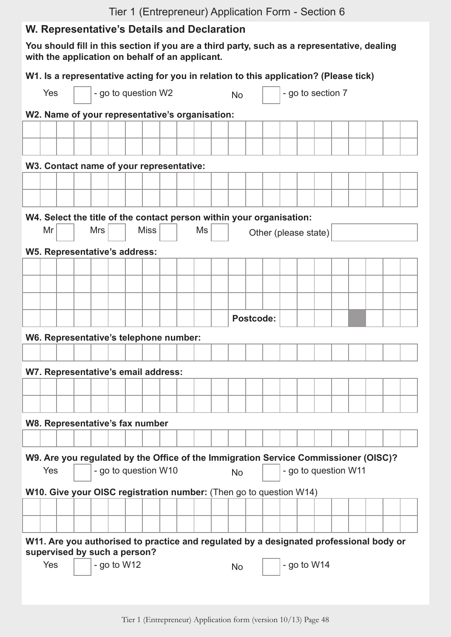## **W. Representative's Details and Declaration**

**You should fill in this section if you are a third party, such as a representative, dealing with the application on behalf of an applicant.**

|     |                                                                                                                        |                                                                                                                                     |                                          |               |                     |             |  |  | W1. Is a representative acting for you in relation to this application? (Please tick) |  |           |                  |                      |                   |  |  |  |
|-----|------------------------------------------------------------------------------------------------------------------------|-------------------------------------------------------------------------------------------------------------------------------------|------------------------------------------|---------------|---------------------|-------------|--|--|---------------------------------------------------------------------------------------|--|-----------|------------------|----------------------|-------------------|--|--|--|
| Yes |                                                                                                                        |                                                                                                                                     |                                          |               | - go to question W2 |             |  |  |                                                                                       |  | <b>No</b> |                  |                      | - go to section 7 |  |  |  |
|     |                                                                                                                        |                                                                                                                                     |                                          |               |                     |             |  |  | W2. Name of your representative's organisation:                                       |  |           |                  |                      |                   |  |  |  |
|     |                                                                                                                        |                                                                                                                                     |                                          |               |                     |             |  |  |                                                                                       |  |           |                  |                      |                   |  |  |  |
|     |                                                                                                                        |                                                                                                                                     |                                          |               |                     |             |  |  |                                                                                       |  |           |                  |                      |                   |  |  |  |
|     |                                                                                                                        |                                                                                                                                     | W3. Contact name of your representative: |               |                     |             |  |  |                                                                                       |  |           |                  |                      |                   |  |  |  |
|     |                                                                                                                        |                                                                                                                                     |                                          |               |                     |             |  |  |                                                                                       |  |           |                  |                      |                   |  |  |  |
|     |                                                                                                                        |                                                                                                                                     |                                          |               |                     |             |  |  |                                                                                       |  |           |                  |                      |                   |  |  |  |
|     |                                                                                                                        |                                                                                                                                     |                                          |               |                     |             |  |  |                                                                                       |  |           |                  |                      |                   |  |  |  |
| Mr  |                                                                                                                        |                                                                                                                                     | <b>Mrs</b>                               |               |                     | <b>Miss</b> |  |  | W4. Select the title of the contact person within your organisation:<br>Ms            |  |           |                  |                      |                   |  |  |  |
|     |                                                                                                                        |                                                                                                                                     |                                          |               |                     |             |  |  |                                                                                       |  |           |                  | Other (please state) |                   |  |  |  |
|     |                                                                                                                        |                                                                                                                                     | W5. Representative's address:            |               |                     |             |  |  |                                                                                       |  |           |                  |                      |                   |  |  |  |
|     |                                                                                                                        |                                                                                                                                     |                                          |               |                     |             |  |  |                                                                                       |  |           |                  |                      |                   |  |  |  |
|     |                                                                                                                        |                                                                                                                                     |                                          |               |                     |             |  |  |                                                                                       |  |           |                  |                      |                   |  |  |  |
|     |                                                                                                                        |                                                                                                                                     |                                          |               |                     |             |  |  |                                                                                       |  |           |                  |                      |                   |  |  |  |
|     |                                                                                                                        |                                                                                                                                     |                                          |               |                     |             |  |  |                                                                                       |  |           | <b>Postcode:</b> |                      |                   |  |  |  |
|     |                                                                                                                        |                                                                                                                                     | W6. Representative's telephone number:   |               |                     |             |  |  |                                                                                       |  |           |                  |                      |                   |  |  |  |
|     |                                                                                                                        |                                                                                                                                     |                                          |               |                     |             |  |  |                                                                                       |  |           |                  |                      |                   |  |  |  |
|     |                                                                                                                        |                                                                                                                                     | W7. Representative's email address:      |               |                     |             |  |  |                                                                                       |  |           |                  |                      |                   |  |  |  |
|     |                                                                                                                        |                                                                                                                                     |                                          |               |                     |             |  |  |                                                                                       |  |           |                  |                      |                   |  |  |  |
|     |                                                                                                                        |                                                                                                                                     |                                          |               |                     |             |  |  |                                                                                       |  |           |                  |                      |                   |  |  |  |
|     |                                                                                                                        |                                                                                                                                     | W8. Representative's fax number          |               |                     |             |  |  |                                                                                       |  |           |                  |                      |                   |  |  |  |
|     |                                                                                                                        |                                                                                                                                     |                                          |               |                     |             |  |  |                                                                                       |  |           |                  |                      |                   |  |  |  |
|     |                                                                                                                        |                                                                                                                                     |                                          |               |                     |             |  |  |                                                                                       |  |           |                  |                      |                   |  |  |  |
| Yes |                                                                                                                        | W9. Are you regulated by the Office of the Immigration Service Commissioner (OISC)?<br>- go to question W10<br>- go to question W11 |                                          |               |                     |             |  |  |                                                                                       |  |           |                  |                      |                   |  |  |  |
|     |                                                                                                                        | <b>No</b>                                                                                                                           |                                          |               |                     |             |  |  |                                                                                       |  |           |                  |                      |                   |  |  |  |
|     |                                                                                                                        |                                                                                                                                     |                                          |               |                     |             |  |  | W10. Give your OISC registration number: (Then go to question W14)                    |  |           |                  |                      |                   |  |  |  |
|     |                                                                                                                        |                                                                                                                                     |                                          |               |                     |             |  |  |                                                                                       |  |           |                  |                      |                   |  |  |  |
|     |                                                                                                                        |                                                                                                                                     |                                          |               |                     |             |  |  |                                                                                       |  |           |                  |                      |                   |  |  |  |
|     | W11. Are you authorised to practice and regulated by a designated professional body or<br>supervised by such a person? |                                                                                                                                     |                                          |               |                     |             |  |  |                                                                                       |  |           |                  |                      |                   |  |  |  |
| Yes |                                                                                                                        |                                                                                                                                     |                                          | - go to $W12$ |                     |             |  |  |                                                                                       |  | <b>No</b> |                  |                      | - go to $W14$     |  |  |  |
|     |                                                                                                                        |                                                                                                                                     |                                          |               |                     |             |  |  |                                                                                       |  |           |                  |                      |                   |  |  |  |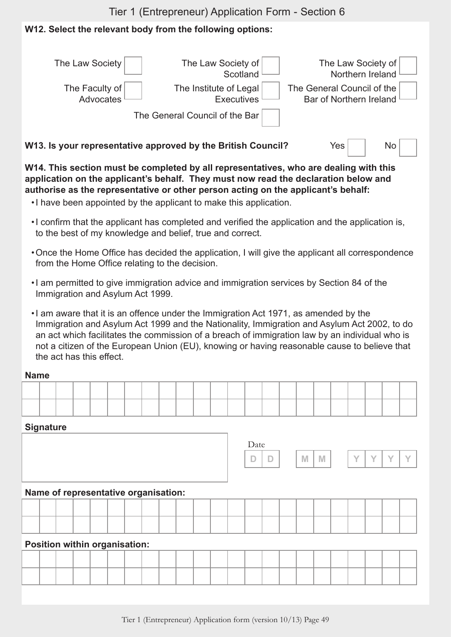## **W12. Select the relevant body from the following options:**

| The Law Society                                              | The Law Society of<br>Scotland              | The Law Society of<br>Northern Ireland                       |
|--------------------------------------------------------------|---------------------------------------------|--------------------------------------------------------------|
| The Faculty of<br>Advocates                                  | The Institute of Legal<br><b>Executives</b> | The General Council of the<br><b>Bar of Northern Ireland</b> |
|                                                              | The General Council of the Bar              |                                                              |
| W13. Is your representative approved by the British Council? |                                             | <b>Yes</b><br>No                                             |

**W14. This section must be completed by all representatives, who are dealing with this application on the applicant's behalf. They must now read the declaration below and authorise as the representative or other person acting on the applicant's behalf:**

- •I have been appointed by the applicant to make this application.
- •I confirm that the applicant has completed and verified the application and the application is, to the best of my knowledge and belief, true and correct.
- •Once the Home Office has decided the application, I will give the applicant all correspondence from the Home Office relating to the decision.
- •I am permitted to give immigration advice and immigration services by Section 84 of the Immigration and Asylum Act 1999.
- •I am aware that it is an offence under the Immigration Act 1971, as amended by the Immigration and Asylum Act 1999 and the Nationality, Immigration and Asylum Act 2002, to do an act which facilitates the commission of a breach of immigration law by an individual who is not a citizen of the European Union (EU), knowing or having reasonable cause to believe that the act has this effect.

#### **Name**

|  |  |  |  | the contract of the contract of the contract of the contract of the contract of the contract of the contract of |  | the contract of the contract of the contract of the contract of the contract of the contract of the contract of |  | _____ |  |  |  |  |
|--|--|--|--|-----------------------------------------------------------------------------------------------------------------|--|-----------------------------------------------------------------------------------------------------------------|--|-------|--|--|--|--|
|  |  |  |  |                                                                                                                 |  |                                                                                                                 |  |       |  |  |  |  |

#### **Signature**

|  |  |                                      |  |  |  |  | Date | $\Box$ | M | M | V | $\sqrt{}$ |  |
|--|--|--------------------------------------|--|--|--|--|------|--------|---|---|---|-----------|--|
|  |  | Name of representative organisation: |  |  |  |  |      |        |   |   |   |           |  |
|  |  |                                      |  |  |  |  |      |        |   |   |   |           |  |
|  |  |                                      |  |  |  |  |      |        |   |   |   |           |  |
|  |  | Position within organisation:        |  |  |  |  |      |        |   |   |   |           |  |
|  |  |                                      |  |  |  |  |      |        |   |   |   |           |  |
|  |  |                                      |  |  |  |  |      |        |   |   |   |           |  |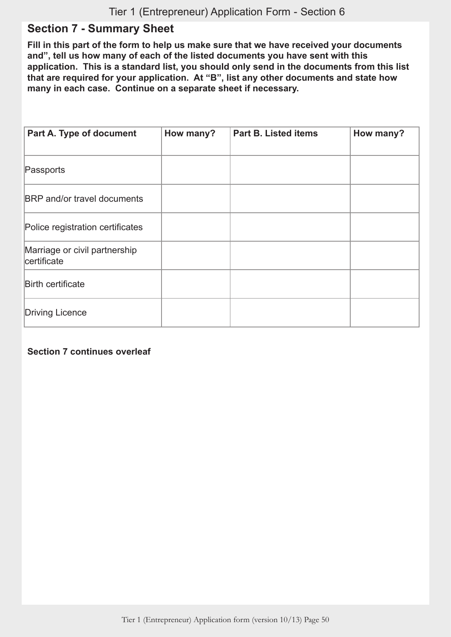## **Section 7 - Summary Sheet**

**Fill in this part of the form to help us make sure that we have received your documents and", tell us how many of each of the listed documents you have sent with this application. This is a standard list, you should only send in the documents from this list that are required for your application. At "B", list any other documents and state how many in each case. Continue on a separate sheet if necessary.**

| Part A. Type of document                     | How many? | <b>Part B. Listed items</b> | How many? |
|----------------------------------------------|-----------|-----------------------------|-----------|
| Passports                                    |           |                             |           |
| <b>BRP</b> and/or travel documents           |           |                             |           |
| Police registration certificates             |           |                             |           |
| Marriage or civil partnership<br>certificate |           |                             |           |
| <b>Birth certificate</b>                     |           |                             |           |
| <b>Driving Licence</b>                       |           |                             |           |

#### **Section 7 continues overleaf**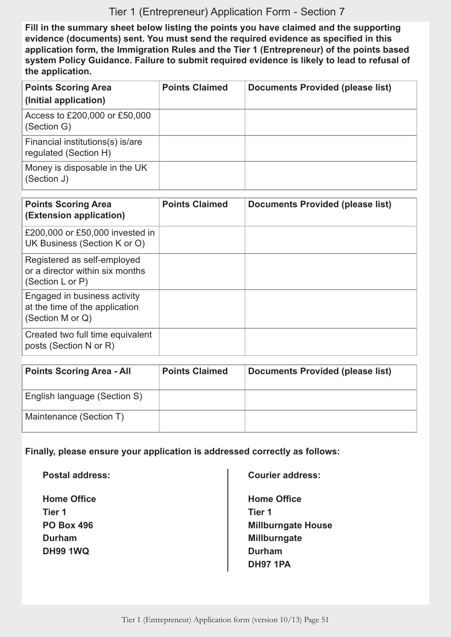**Fill in the summary sheet below listing the points you have claimed and the supporting evidence (documents) sent. You must send the required evidence as specified in this application form, the Immigration Rules and the Tier 1 (Entrepreneur) of the points based system Policy Guidance. Failure to submit required evidence is likely to lead to refusal of the application.**

| <b>Points Scoring Area</b><br>(Initial application)       | <b>Points Claimed</b> | <b>Documents Provided (please list)</b> |
|-----------------------------------------------------------|-----------------------|-----------------------------------------|
| Access to £200,000 or £50,000<br>(Section G)              |                       |                                         |
| Financial institutions(s) is/are<br>regulated (Section H) |                       |                                         |
| Money is disposable in the UK<br>(Section J)              |                       |                                         |

| <b>Points Scoring Area</b><br>(Extension application)                              | <b>Points Claimed</b> | <b>Documents Provided (please list)</b> |
|------------------------------------------------------------------------------------|-----------------------|-----------------------------------------|
| £200,000 or £50,000 invested in<br>UK Business (Section K or O)                    |                       |                                         |
| Registered as self-employed<br>or a director within six months<br>(Section L or P) |                       |                                         |
| Engaged in business activity<br>at the time of the application<br>(Section M or Q) |                       |                                         |
| Created two full time equivalent<br>posts (Section N or R)                         |                       |                                         |

| <b>Points Scoring Area - All</b> | <b>Points Claimed</b> | Documents Provided (please list) |
|----------------------------------|-----------------------|----------------------------------|
| English language (Section S)     |                       |                                  |
| Maintenance (Section T)          |                       |                                  |

#### **Finally, please ensure your application is addressed correctly as follows:**

**Postal address:**

**Home Office Tier 1 PO Box 496 Durham DH99 1WQ**

**Courier address:**

**Home Office Tier 1 Millburngate House Millburngate Durham DH97 1PA**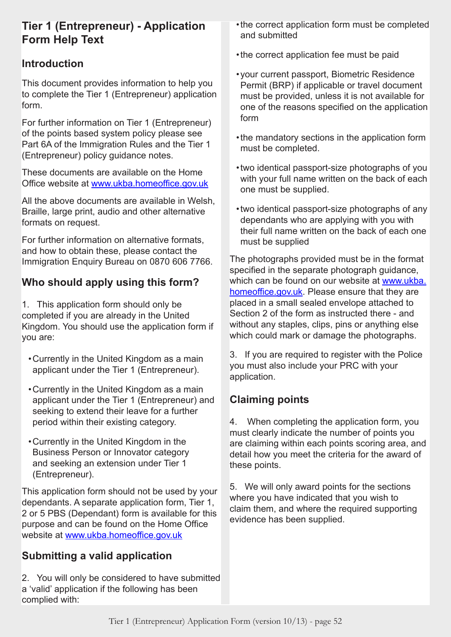## **Tier 1 (Entrepreneur) - Application Form Help Text**

## **Introduction**

This document provides information to help you to complete the Tier 1 (Entrepreneur) application form.

For further information on Tier 1 (Entrepreneur) of the points based system policy please see Part 6A of the Immigration Rules and the Tier 1 (Entrepreneur) policy guidance notes.

These documents are available on the Home Office website at www.ukba.homeoffice.gov.uk

All the above documents are available in Welsh, Braille, large print, audio and other alternative formats on request.

For further information on alternative formats, and how to obtain these, please contact the Immigration Enquiry Bureau on 0870 606 7766.

## **Who should apply using this form?**

1. This application form should only be completed if you are already in the United Kingdom. You should use the application form if you are:

- •Currently in the United Kingdom as a main applicant under the Tier 1 (Entrepreneur).
- •Currently in the United Kingdom as a main applicant under the Tier 1 (Entrepreneur) and seeking to extend their leave for a further period within their existing category.
- •Currently in the United Kingdom in the Business Person or Innovator category and seeking an extension under Tier 1 (Entrepreneur).

This application form should not be used by your dependants. A separate application form, Tier 1, 2 or 5 PBS (Dependant) form is available for this purpose and can be found on the Home Office website at www.ukba.homeoffice.gov.uk

## **Submitting a valid application**

2. You will only be considered to have submitted a 'valid' application if the following has been complied with:

- •the correct application form must be completed and submitted
- •the correct application fee must be paid
- •your current passport, Biometric Residence Permit (BRP) if applicable or travel document must be provided, unless it is not available for one of the reasons specified on the application form
- •the mandatory sections in the application form must be completed.
- •two identical passport-size photographs of you with your full name written on the back of each one must be supplied.
- •two identical passport-size photographs of any dependants who are applying with you with their full name written on the back of each one must be supplied

The photographs provided must be in the format specified in the separate photograph guidance, which can be found on our website at www.ukba. homeoffice.gov.uk. Please ensure that they are placed in a small sealed envelope attached to Section 2 of the form as instructed there - and without any staples, clips, pins or anything else which could mark or damage the photographs.

3. If you are required to register with the Police you must also include your PRC with your application.

## **Claiming points**

4. When completing the application form, you must clearly indicate the number of points you are claiming within each points scoring area, and detail how you meet the criteria for the award of these points.

5. We will only award points for the sections where you have indicated that you wish to claim them, and where the required supporting evidence has been supplied.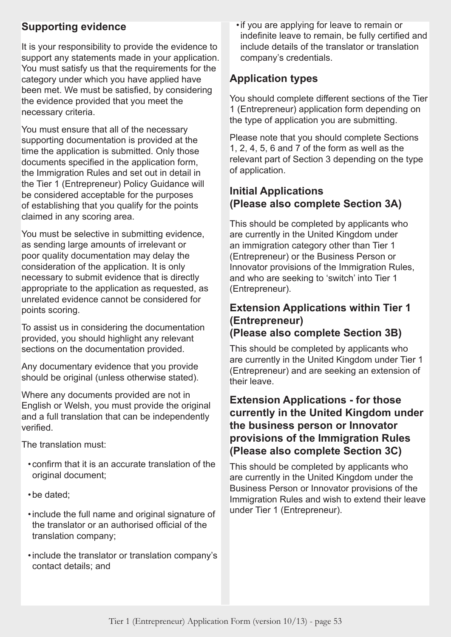## **Supporting evidence**

It is your responsibility to provide the evidence to support any statements made in your application. You must satisfy us that the requirements for the category under which you have applied have been met. We must be satisfied, by considering the evidence provided that you meet the necessary criteria.

You must ensure that all of the necessary supporting documentation is provided at the time the application is submitted. Only those documents specified in the application form, the Immigration Rules and set out in detail in the Tier 1 (Entrepreneur) Policy Guidance will be considered acceptable for the purposes of establishing that you qualify for the points claimed in any scoring area.

You must be selective in submitting evidence, as sending large amounts of irrelevant or poor quality documentation may delay the consideration of the application. It is only necessary to submit evidence that is directly appropriate to the application as requested, as unrelated evidence cannot be considered for points scoring.

To assist us in considering the documentation provided, you should highlight any relevant sections on the documentation provided.

Any documentary evidence that you provide should be original (unless otherwise stated).

Where any documents provided are not in English or Welsh, you must provide the original and a full translation that can be independently verified.

The translation must:

- •confirm that it is an accurate translation of the original document;
- •be dated;
- •include the full name and original signature of the translator or an authorised official of the translation company;
- •include the translator or translation company's contact details; and

•if you are applying for leave to remain or indefinite leave to remain, be fully certified and include details of the translator or translation company's credentials.

## **Application types**

You should complete different sections of the Tier 1 (Entrepreneur) application form depending on the type of application you are submitting.

Please note that you should complete Sections 1, 2, 4, 5, 6 and 7 of the form as well as the relevant part of Section 3 depending on the type of application.

## **Initial Applications (Please also complete Section 3A)**

This should be completed by applicants who are currently in the United Kingdom under an immigration category other than Tier 1 (Entrepreneur) or the Business Person or Innovator provisions of the Immigration Rules, and who are seeking to 'switch' into Tier 1 (Entrepreneur).

## **Extension Applications within Tier 1 (Entrepreneur) (Please also complete Section 3B)**

This should be completed by applicants who are currently in the United Kingdom under Tier 1 (Entrepreneur) and are seeking an extension of their leave.

## **Extension Applications - for those currently in the United Kingdom under the business person or Innovator provisions of the Immigration Rules (Please also complete Section 3C)**

This should be completed by applicants who are currently in the United Kingdom under the Business Person or Innovator provisions of the Immigration Rules and wish to extend their leave under Tier 1 (Entrepreneur).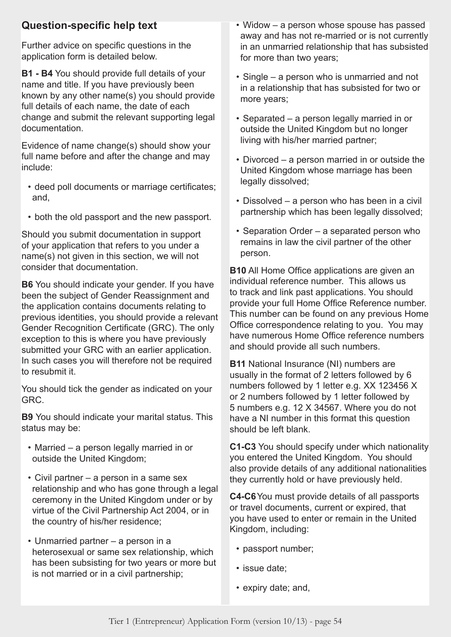## **Question-specific help text**

Further advice on specific questions in the application form is detailed below.

**B1 - B4** You should provide full details of your name and title. If you have previously been known by any other name(s) you should provide full details of each name, the date of each change and submit the relevant supporting legal documentation.

Evidence of name change(s) should show your full name before and after the change and may include:

- deed poll documents or marriage certificates; and,
- both the old passport and the new passport.

Should you submit documentation in support of your application that refers to you under a name(s) not given in this section, we will not consider that documentation.

**B6** You should indicate your gender. If you have been the subject of Gender Reassignment and the application contains documents relating to previous identities, you should provide a relevant Gender Recognition Certificate (GRC). The only exception to this is where you have previously submitted your GRC with an earlier application. In such cases you will therefore not be required to resubmit it.

You should tick the gender as indicated on your GRC.

**B9** You should indicate your marital status. This status may be:

- Married a person legally married in or outside the United Kingdom;
- Civil partner a person in a same sex relationship and who has gone through a legal ceremony in the United Kingdom under or by virtue of the Civil Partnership Act 2004, or in the country of his/her residence;
- Unmarried partner a person in a heterosexual or same sex relationship, which has been subsisting for two years or more but is not married or in a civil partnership;
- Widow a person whose spouse has passed away and has not re-married or is not currently in an unmarried relationship that has subsisted for more than two years;
- Single a person who is unmarried and not in a relationship that has subsisted for two or more years;
- Separated a person legally married in or outside the United Kingdom but no longer living with his/her married partner;
- Divorced a person married in or outside the United Kingdom whose marriage has been legally dissolved;
- Dissolved a person who has been in a civil partnership which has been legally dissolved;
- Separation Order a separated person who remains in law the civil partner of the other person.

**B10** All Home Office applications are given an individual reference number. This allows us to track and link past applications. You should provide your full Home Office Reference number. This number can be found on any previous Home Office correspondence relating to you. You may have numerous Home Office reference numbers and should provide all such numbers.

**B11** National Insurance (NI) numbers are usually in the format of 2 letters followed by 6 numbers followed by 1 letter e.g. XX 123456 X or 2 numbers followed by 1 letter followed by 5 numbers e.g. 12 X 34567. Where you do not have a NI number in this format this question should be left blank.

**C1-C3** You should specify under which nationality you entered the United Kingdom. You should also provide details of any additional nationalities they currently hold or have previously held.

**C4-C6**You must provide details of all passports or travel documents, current or expired, that you have used to enter or remain in the United Kingdom, including:

- passport number;
- issue date;
- expiry date; and,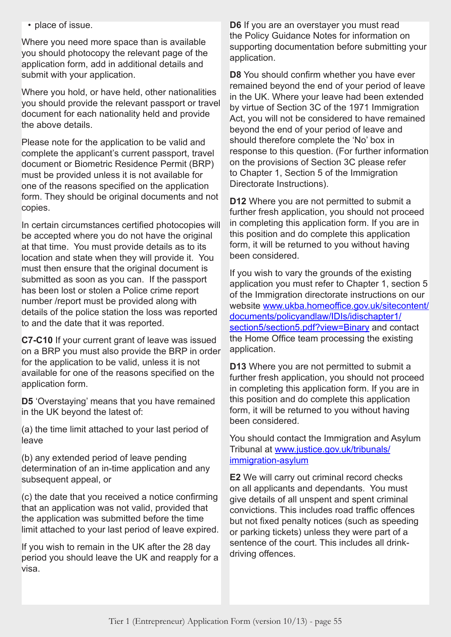• place of issue.

Where you need more space than is available you should photocopy the relevant page of the application form, add in additional details and submit with your application.

Where you hold, or have held, other nationalities you should provide the relevant passport or travel document for each nationality held and provide the above details.

Please note for the application to be valid and complete the applicant's current passport, travel document or Biometric Residence Permit (BRP) must be provided unless it is not available for one of the reasons specified on the application form. They should be original documents and not copies.

In certain circumstances certified photocopies will be accepted where you do not have the original at that time. You must provide details as to its location and state when they will provide it. You must then ensure that the original document is submitted as soon as you can. If the passport has been lost or stolen a Police crime report number /report must be provided along with details of the police station the loss was reported to and the date that it was reported.

**C7-C10** If your current grant of leave was issued on a BRP you must also provide the BRP in order for the application to be valid, unless it is not available for one of the reasons specified on the application form.

**D5** 'Overstaying' means that you have remained in the UK beyond the latest of:

(a) the time limit attached to your last period of leave

(b) any extended period of leave pending determination of an in-time application and any subsequent appeal, or

(c) the date that you received a notice confirming that an application was not valid, provided that the application was submitted before the time limit attached to your last period of leave expired.

If you wish to remain in the UK after the 28 day period you should leave the UK and reapply for a visa.

**D6** If you are an overstayer you must read the Policy Guidance Notes for information on supporting documentation before submitting your application.

**D8** You should confirm whether you have ever remained beyond the end of your period of leave in the UK. Where your leave had been extended by virtue of Section 3C of the 1971 Immigration Act, you will not be considered to have remained beyond the end of your period of leave and should therefore complete the 'No' box in response to this question. (For further information on the provisions of Section 3C please refer to Chapter 1, Section 5 of the Immigration Directorate Instructions).

**D12** Where you are not permitted to submit a further fresh application, you should not proceed in completing this application form. If you are in this position and do complete this application form, it will be returned to you without having been considered.

If you wish to vary the grounds of the existing application you must refer to Chapter 1, section 5 of the Immigration directorate instructions on our website [www.ukba.homeoffice.gov.uk/sitecontent/](http://www.ukba.homeoffice.gov.uk/sitecontent/documents/policyandlaw/IDIs/idischapter1/section5/section5.pdf?view=Binary) [documents/policyandlaw/IDIs/idischapter1/](http://www.ukba.homeoffice.gov.uk/sitecontent/documents/policyandlaw/IDIs/idischapter1/section5/section5.pdf?view=Binary) [section5/section5.pdf?view=Binary](http://www.ukba.homeoffice.gov.uk/sitecontent/documents/policyandlaw/IDIs/idischapter1/section5/section5.pdf?view=Binary) and contact the Home Office team processing the existing application.

**D13** Where you are not permitted to submit a further fresh application, you should not proceed in completing this application form. If you are in this position and do complete this application form, it will be returned to you without having been considered.

You should contact the Immigration and Asylum Tribunal at [www.justice.gov.uk/tribunals/](www.justice.gov.uk/tribunals/immigration-asylum ) [immigration-asylum](www.justice.gov.uk/tribunals/immigration-asylum )

**E2** We will carry out criminal record checks on all applicants and dependants. You must give details of all unspent and spent criminal convictions. This includes road traffic offences but not fixed penalty notices (such as speeding or parking tickets) unless they were part of a sentence of the court. This includes all drinkdriving offences.